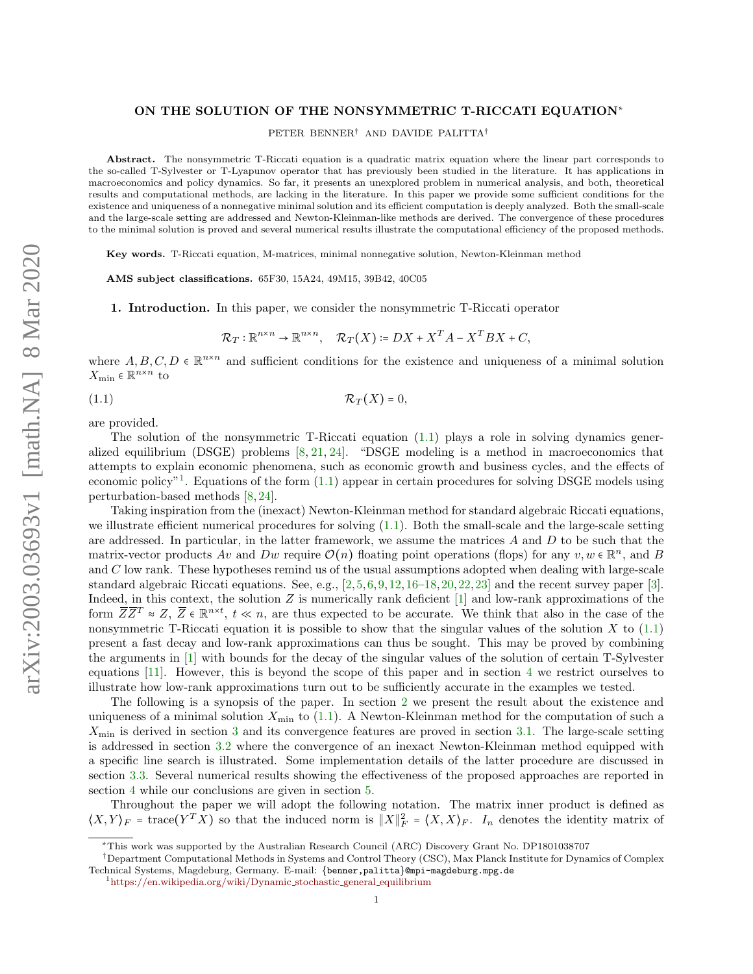## ON THE SOLUTION OF THE NONSYMMETRIC T-RICCATI EQUATION<sup>∗</sup>

PETER BENNER† AND DAVIDE PALITTA†

Abstract. The nonsymmetric T-Riccati equation is a quadratic matrix equation where the linear part corresponds to the so-called T-Sylvester or T-Lyapunov operator that has previously been studied in the literature. It has applications in macroeconomics and policy dynamics. So far, it presents an unexplored problem in numerical analysis, and both, theoretical results and computational methods, are lacking in the literature. In this paper we provide some sufficient conditions for the existence and uniqueness of a nonnegative minimal solution and its efficient computation is deeply analyzed. Both the small-scale and the large-scale setting are addressed and Newton-Kleinman-like methods are derived. The convergence of these procedures to the minimal solution is proved and several numerical results illustrate the computational efficiency of the proposed methods.

Key words. T-Riccati equation, M-matrices, minimal nonnegative solution, Newton-Kleinman method

AMS subject classifications. 65F30, 15A24, 49M15, 39B42, 40C05

<span id="page-0-2"></span>1. Introduction. In this paper, we consider the nonsymmetric T-Riccati operator

<span id="page-0-0"></span>
$$
\mathcal{R}_T: \mathbb{R}^{n \times n} \to \mathbb{R}^{n \times n}, \quad \mathcal{R}_T(X) \coloneqq DX + X^T A - X^T BX + C,
$$

where  $A, B, C, D \in \mathbb{R}^{n \times n}$  and sufficient conditions for the existence and uniqueness of a minimal solution  $X_{\min} \in \mathbb{R}^{n \times n}$  to

$$
(\text{1.1}) \quad \mathcal{R}_T(X) = 0,
$$

are provided.

The solution of the nonsymmetric T-Riccati equation [\(1.1\)](#page-0-0) plays a role in solving dynamics generalized equilibrium (DSGE) problems [\[8,](#page-14-0) [21,](#page-14-1) [24\]](#page-14-2). "DSGE modeling is a method in macroeconomics that attempts to explain economic phenomena, such as economic growth and business cycles, and the effects of economic policy"<sup>[1](#page-0-1)</sup>. Equations of the form  $(1.1)$  appear in certain procedures for solving DSGE models using perturbation-based methods [\[8,](#page-14-0) [24\]](#page-14-2).

Taking inspiration from the (inexact) Newton-Kleinman method for standard algebraic Riccati equations, we illustrate efficient numerical procedures for solving [\(1.1\)](#page-0-0). Both the small-scale and the large-scale setting are addressed. In particular, in the latter framework, we assume the matrices  $A$  and  $D$  to be such that the matrix-vector products  $Av$  and  $Dw$  require  $\mathcal{O}(n)$  floating point operations (flops) for any  $v, w \in \mathbb{R}^n$ , and B and C low rank. These hypotheses remind us of the usual assumptions adopted when dealing with large-scale standard algebraic Riccati equations. See, e.g., [\[2,](#page-14-3)[5,](#page-14-4)[6,](#page-14-5)[9,](#page-14-6)[12,](#page-14-7)[16–](#page-14-8)[18,](#page-14-9)[20,](#page-14-10)[22,](#page-14-11)[23\]](#page-14-12) and the recent survey paper [\[3\]](#page-14-13). Indeed, in this context, the solution  $Z$  is numerically rank deficient  $[1]$  and low-rank approximations of the form  $\overline{Z}\overline{Z}^T \approx Z$ ,  $\overline{Z} \in \mathbb{R}^{n \times t}$ ,  $t \ll n$ , are thus expected to be accurate. We think that also in the case of the nonsymmetric T-Riccati equation it is possible to show that the singular values of the solution  $X$  to  $(1.1)$ present a fast decay and low-rank approximations can thus be sought. This may be proved by combining the arguments in [\[1\]](#page-14-14) with bounds for the decay of the singular values of the solution of certain T-Sylvester equations [\[11\]](#page-14-15). However, this is beyond the scope of this paper and in section [4](#page-10-0) we restrict ourselves to illustrate how low-rank approximations turn out to be sufficiently accurate in the examples we tested.

The following is a synopsis of the paper. In section [2](#page-1-0) we present the result about the existence and uniqueness of a minimal solution  $X_{\text{min}}$  to [\(1.1\)](#page-0-0). A Newton-Kleinman method for the computation of such a  $X_{\text{min}}$  is derived in section [3](#page-2-0) and its convergence features are proved in section [3.1.](#page-2-1) The large-scale setting is addressed in section [3.2](#page-4-0) where the convergence of an inexact Newton-Kleinman method equipped with a specific line search is illustrated. Some implementation details of the latter procedure are discussed in section [3.3.](#page-8-0) Several numerical results showing the effectiveness of the proposed approaches are reported in section [4](#page-10-0) while our conclusions are given in section [5.](#page-13-0)

Throughout the paper we will adopt the following notation. The matrix inner product is defined as  $\langle X, Y \rangle_F = \text{trace}(Y^T X)$  so that the induced norm is  $||X||_F^2 = \langle X, X \rangle_F$ .  $I_n$  denotes the identity matrix of

<sup>∗</sup>This work was supported by the Australian Research Council (ARC) Discovery Grant No. DP1801038707

<sup>†</sup>Department Computational Methods in Systems and Control Theory (CSC), Max Planck Institute for Dynamics of Complex Technical Systems, Magdeburg, Germany. E-mail: {benner,palitta}@mpi-magdeburg.mpg.de

<span id="page-0-1"></span><sup>1</sup>[https://en.wikipedia.org/wiki/Dynamic](https://en.wikipedia.org/wiki/Dynamic_stochastic_general_equilibrium) stochastic general equilibrium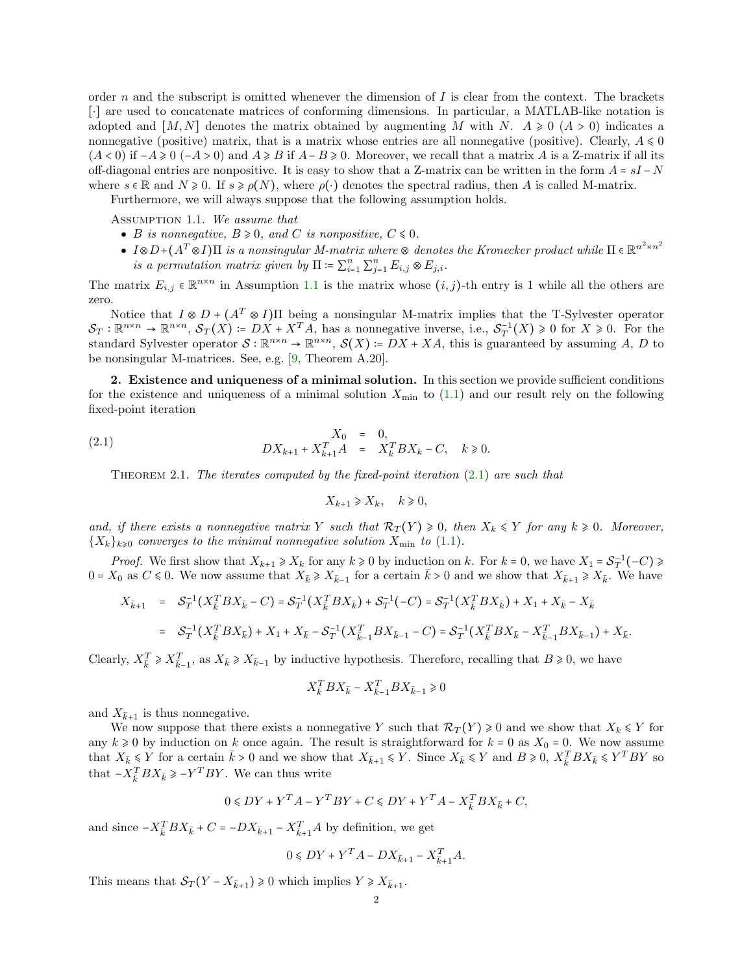order n and the subscript is omitted whenever the dimension of I is clear from the context. The brackets [⋅] are used to concatenate matrices of conforming dimensions. In particular, a MATLAB-like notation is adopted and  $[M, N]$  denotes the matrix obtained by augmenting M with N.  $A \geq 0$  ( $A > 0$ ) indicates a nonnegative (positive) matrix, that is a matrix whose entries are all nonnegative (positive). Clearly,  $A \leq 0$  $(A < 0)$  if  $-A \ge 0$   $(-A > 0)$  and  $A \ge B$  if  $A - B \ge 0$ . Moreover, we recall that a matrix A is a Z-matrix if all its off-diagonal entries are nonpositive. It is easy to show that a Z-matrix can be written in the form  $A = sI - N$ where  $s \in \mathbb{R}$  and  $N \ge 0$ . If  $s \ge \rho(N)$ , where  $\rho(\cdot)$  denotes the spectral radius, then A is called M-matrix.

Furthermore, we will always suppose that the following assumption holds.

Assumption 1.1. We assume that

- B is nonnegative,  $B \ge 0$ , and C is nonpositive,  $C \le 0$ .
- $I \otimes D + (A^T \otimes I) \Pi$  is a nonsingular M-matrix where  $\otimes$  denotes the Kronecker product while  $\Pi \in \mathbb{R}^{n^2 \times n^2}$ is a permutation matrix given by  $\Pi \coloneqq \sum_{i=1}^n \sum_{j=1}^n E_{i,j} \otimes E_{j,i}$ .

The matrix  $E_{i,j} \in \mathbb{R}^{n \times n}$  in Assumption [1.1](#page-1-1) is the matrix whose  $(i, j)$ -th entry is 1 while all the others are zero.

Notice that  $I \otimes D + (A^T \otimes I)$ II being a nonsingular M-matrix implies that the T-Sylvester operator  $\mathcal{S}_T : \mathbb{R}^{n \times n} \to \mathbb{R}^{n \times n}$ ,  $\mathcal{S}_T(X) \coloneqq DX + X^T A$ , has a nonnegative inverse, i.e.,  $\mathcal{S}_T^{-1}(X) \geq 0$  for  $X \geq 0$ . For the standard Sylvester operator  $S : \mathbb{R}^{n \times n} \to \mathbb{R}^{n \times n}$ ,  $S(X) = DX + XA$ , this is guaranteed by assuming A, D to be nonsingular M-matrices. See, e.g. [\[9,](#page-14-6) Theorem A.20].

<span id="page-1-0"></span>2. Existence and uniqueness of a minimal solution. In this section we provide sufficient conditions for the existence and uniqueness of a minimal solution  $X_{\text{min}}$  to [\(1.1\)](#page-0-0) and our result rely on the following fixed-point iteration

(2.1) 
$$
X_0 = 0,
$$
  
\n
$$
DX_{k+1} + X_{k+1}^T A = X_k^T BX_k - C, \quad k \ge 0.
$$

<span id="page-1-3"></span>THEOREM 2.1. The iterates computed by the fixed-point iteration  $(2.1)$  are such that

<span id="page-1-2"></span><span id="page-1-1"></span>
$$
X_{k+1} \ge X_k, \quad k \ge 0,
$$

and, if there exists a nonnegative matrix Y such that  $\mathcal{R}_T(Y) \geq 0$ , then  $X_k \leq Y$  for any  $k \geq 0$ . Moreover,  ${X_k}_{k\geqslant0}$  converges to the minimal nonnegative solution  $X_{\min}$  to [\(1.1\)](#page-0-0).

*Proof.* We first show that  $X_{k+1} \ge X_k$  for any  $k \ge 0$  by induction on k. For  $k = 0$ , we have  $X_1 = S_T^{-1}(-C) \ge$  $0 = X_0$  as  $C \le 0$ . We now assume that  $X_{\bar{k}} \ge X_{\bar{k}-1}$  for a certain  $\bar{k} > 0$  and we show that  $X_{\bar{k}+1} \ge X_{\bar{k}}$ . We have

$$
X_{\bar{k}+1} = S_T^{-1}(X_{\bar{k}}^T BX_{\bar{k}} - C) = S_T^{-1}(X_{\bar{k}}^T BX_{\bar{k}}) + S_T^{-1}(-C) = S_T^{-1}(X_{\bar{k}}^T BX_{\bar{k}}) + X_1 + X_{\bar{k}} - X_{\bar{k}}
$$
  
= 
$$
S_T^{-1}(X_{\bar{k}}^T BX_{\bar{k}}) + X_1 + X_{\bar{k}} - S_T^{-1}(X_{\bar{k}-1}^T BX_{\bar{k}-1} - C) = S_T^{-1}(X_{\bar{k}}^T BX_{\bar{k}} - X_{\bar{k}-1}^T BX_{\bar{k}-1}) + X_{\bar{k}}.
$$

Clearly,  $X_{\bar{k}}^T \ge X_{\bar{k}-1}^T$ , as  $X_{\bar{k}} \ge X_{\bar{k}-1}$  by inductive hypothesis. Therefore, recalling that  $B \ge 0$ , we have

$$
X_{\bar k}^T BX_{\bar k}-X_{\bar k-1}^T BX_{\bar k-1}\geq 0
$$

and  $X_{\bar{k}+1}$  is thus nonnegative.

We now suppose that there exists a nonnegative Y such that  $\mathcal{R}_T(Y) \geq 0$  and we show that  $X_k \leq Y$  for any  $k \geq 0$  by induction on k once again. The result is straightforward for  $k = 0$  as  $X_0 = 0$ . We now assume that  $X_{\bar{k}} \leq Y$  for a certain  $\bar{k} > 0$  and we show that  $X_{\bar{k}+1} \leq Y$ . Since  $X_{\bar{k}} \leq Y$  and  $B \geq 0$ ,  $X_{\bar{k}}^T BX_{\bar{k}} \leq Y^TBY$  so that  $-X_{\bar{k}}^T BX_{\bar{k}} \ge -Y^TBY$ . We can thus write

$$
0 \leqslant DY + Y^T A - Y^T BY + C \leqslant DY + Y^T A - X_{\overline{k}}^T BX_{\overline{k}} + C,
$$

and since  $-X_{\bar{k}}^T BX_{\bar{k}} + C = -DX_{\bar{k}+1} - X_{\bar{k}+1}^T A$  by definition, we get

$$
0 \leqslant DY + Y^T A - DX_{\bar{k}+1} - X_{\bar{k}+1}^T A.
$$

This means that  $S_T(Y - X_{\bar{k}+1}) \geq 0$  which implies  $Y \geq X_{\bar{k}+1}$ .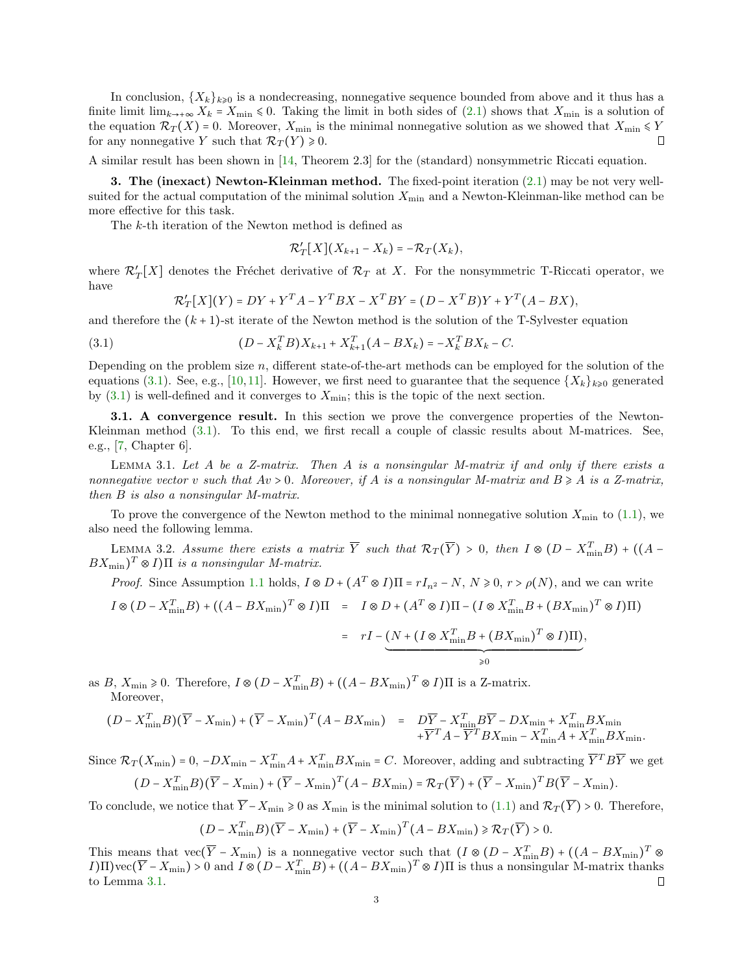In conclusion,  $\{X_k\}_{k\geqslant0}$  is a nondecreasing, nonnegative sequence bounded from above and it thus has a finite limit  $\lim_{k\to+\infty} X_k = X_{\min} \leq 0$ . Taking the limit in both sides of [\(2.1\)](#page-1-2) shows that  $X_{\min}$  is a solution of the equation  $\mathcal{R}_T(X)$  = 0. Moreover,  $X_{\min}$  is the minimal nonnegative solution as we showed that  $X_{\min} \leq Y$ for any nonnegative Y such that  $\mathcal{R}_T(Y) \geq 0$ .  $\Box$ 

A similar result has been shown in [\[14,](#page-14-16) Theorem 2.3] for the (standard) nonsymmetric Riccati equation.

<span id="page-2-0"></span>3. The (inexact) Newton-Kleinman method. The fixed-point iteration [\(2.1\)](#page-1-2) may be not very wellsuited for the actual computation of the minimal solution  $X_{\min}$  and a Newton-Kleinman-like method can be more effective for this task.

The k-th iteration of the Newton method is defined as

$$
\mathcal{R}'_T[X](X_{k+1}-X_k)=-\mathcal{R}_T(X_k),
$$

where  $\mathcal{R}'_T[X]$  denotes the Fréchet derivative of  $\mathcal{R}_T$  at X. For the nonsymmetric T-Riccati operator, we have

<span id="page-2-2"></span>
$$
\mathcal{R}'_T[X](Y) = DY + Y^T A - Y^T B X - X^T B Y = (D - X^T B)Y + Y^T (A - B X),
$$

and therefore the  $(k + 1)$ -st iterate of the Newton method is the solution of the T-Sylvester equation

(3.1) 
$$
(D - X_k^T B)X_{k+1} + X_{k+1}^T (A - BX_k) = -X_k^T BX_k - C.
$$

Depending on the problem size  $n$ , different state-of-the-art methods can be employed for the solution of the equations [\(3.1\)](#page-2-2). See, e.g., [\[10,](#page-14-17)[11\]](#page-14-15). However, we first need to guarantee that the sequence  $\{X_k\}_{k\geqslant 0}$  generated by  $(3.1)$  is well-defined and it converges to  $X_{\text{min}}$ ; this is the topic of the next section.

<span id="page-2-1"></span>**3.1.** A convergence result. In this section we prove the convergence properties of the Newton-Kleinman method [\(3.1\)](#page-2-2). To this end, we first recall a couple of classic results about M-matrices. See, e.g., [\[7,](#page-14-18) Chapter 6].

<span id="page-2-3"></span>LEMMA 3.1. Let  $A$  be a Z-matrix. Then  $A$  is a nonsingular M-matrix if and only if there exists a nonnegative vector v such that  $Av > 0$ . Moreover, if A is a nonsingular M-matrix and  $B \geq A$  is a Z-matrix, then B is also a nonsingular M-matrix.

To prove the convergence of the Newton method to the minimal nonnegative solution  $X_{\text{min}}$  to [\(1.1\)](#page-0-0), we also need the following lemma.

LEMMA 3.2. Assume there exists a matrix  $\overline{Y}$  such that  $\mathcal{R}_T(\overline{Y}) > 0$ , then  $I \otimes (D - X_{\min}^T B) + ((A BX_{\min}$  $(T \otimes I)\Pi$  is a nonsingular M-matrix.

*Proof.* Since Assumption [1.1](#page-1-1) holds,  $I \otimes D + (A^T \otimes I)\Pi = rI_{n^2} - N$ ,  $N \ge 0$ ,  $r > \rho(N)$ , and we can write

$$
I \otimes (D - X_{\min}^T B) + ((A - BX_{\min})^T \otimes I)\Pi = I \otimes D + (A^T \otimes I)\Pi - (I \otimes X_{\min}^T B + (BX_{\min})^T \otimes I)\Pi)
$$

<span id="page-2-4"></span>
$$
= rI - \underbrace{(N + (I \otimes X_{\min}^T B + (BX_{\min})^T \otimes I)\Pi)}_{\geq 0},
$$

as  $B, X_{\min} \geq 0$ . Therefore,  $I \otimes (D - X_{\min}^T B) + ((A - BX_{\min})^T \otimes I)\Pi$  is a Z-matrix. Moreover,

$$
(D - X_{\min}^T B)(\overline{Y} - X_{\min}) + (\overline{Y} - X_{\min})^T (A - BX_{\min}) = D\overline{Y} - X_{\min}^T B\overline{Y} - DX_{\min} + X_{\min}^T BX_{\min} + X_{\min}^T BX_{\min}
$$
  
+  $\overline{Y}^T A - \overline{Y}^T BX_{\min} - X_{\min}^T A + X_{\min}^T BX_{\min}.$ 

Since  $\mathcal{R}_T(X_{\min}) = 0$ ,  $-DX_{\min} - X_{\min}^T A + X_{\min}^T B X_{\min} = C$ . Moreover, adding and subtracting  $\overline{Y}^T B \overline{Y}$  we get  $(D - X_{\min}^T B)(\overline{Y} - X_{\min}) + (\overline{Y} - X_{\min})^T (A - BX_{\min}) = \mathcal{R}_T(\overline{Y}) + (\overline{Y} - X_{\min})^T B(\overline{Y} - X_{\min}).$ 

To conclude, we notice that  $\overline{Y} - X_{\min} \geq 0$  as  $X_{\min}$  is the minimal solution to  $(1.1)$  and  $\mathcal{R}_T(\overline{Y}) > 0$ . Therefore,

$$
(D - X_{\min}^T B)(\overline{Y} - X_{\min}) + (\overline{Y} - X_{\min})^T (A - BX_{\min}) \ge \mathcal{R}_T(\overline{Y}) > 0.
$$

This means that vec( $\overline{Y} - X_{\min}$ ) is a nonnegative vector such that  $(I \otimes (D - X_{\min}^T B) + ((A - BX_{\min})^T \otimes$  $I(\overline{Y} - X_{\min}) > 0$  and  $I \otimes (D - X_{\min}^T B) + ((A - BX_{\min})^T \otimes I)\Pi$  is thus a nonsingular M-matrix thanks to Lemma [3.1.](#page-2-3) О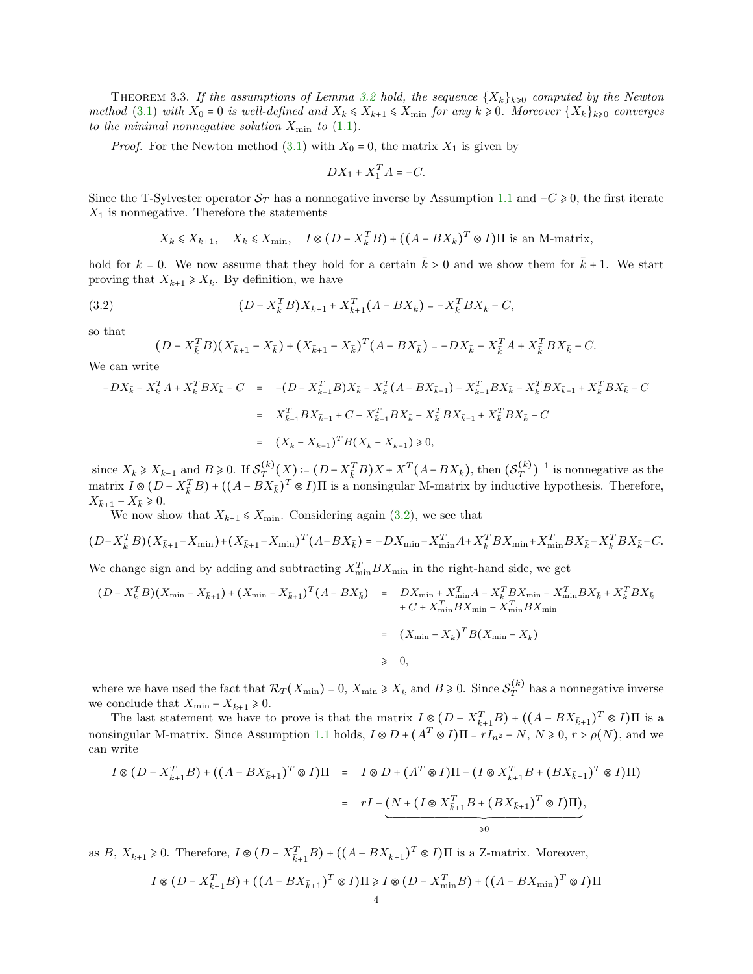THEOREM 3.3. If the assumptions of Lemma [3.2](#page-2-4) hold, the sequence  $\{X_k\}_{k\geqslant 0}$  computed by the Newton method [\(3.1\)](#page-2-2) with  $X_0 = 0$  is well-defined and  $X_k \leq X_{k+1} \leq X_{\min}$  for any  $k \geq 0$ . Moreover  $\{X_k\}_{k \geq 0}$  converges to the minimal nonnegative solution  $X_{\min}$  to [\(1.1\)](#page-0-0).

*Proof.* For the Newton method [\(3.1\)](#page-2-2) with  $X_0 = 0$ , the matrix  $X_1$  is given by

$$
DX_1 + X_1^T A = -C.
$$

Since the T-Sylvester operator  $S_T$  has a nonnegative inverse by Assumption [1.1](#page-1-1) and  $-C \ge 0$ , the first iterate  $X_1$  is nonnegative. Therefore the statements

$$
X_k \leq X_{k+1}, \quad X_k \leq X_{\min}, \quad I \otimes (D - X_k^T B) + ((A - BX_k)^T \otimes I)\Pi
$$
 is an M-matrix,

hold for  $k = 0$ . We now assume that they hold for a certain  $\bar{k} > 0$  and we show them for  $\bar{k} + 1$ . We start proving that  $X_{\bar{k}+1} \geq X_{\bar{k}}$ . By definition, we have

(3.2) 
$$
(D - X_{\bar{k}}^T B) X_{\bar{k}+1} + X_{\bar{k}+1}^T (A - BX_{\bar{k}}) = -X_{\bar{k}}^T BX_{\bar{k}} - C,
$$

so that

<span id="page-3-0"></span>
$$
(D - X_{\bar{k}}^T B)(X_{\bar{k}+1} - X_{\bar{k}}) + (X_{\bar{k}+1} - X_{\bar{k}})^T (A - BX_{\bar{k}}) = -DX_{\bar{k}} - X_{\bar{k}}^T A + X_{\bar{k}}^T BX_{\bar{k}} - C.
$$

We can write

$$
-DX_{\bar{k}} - X_{\bar{k}}^T A + X_{\bar{k}}^T BX_{\bar{k}} - C = -(D - X_{\bar{k}-1}^T B)X_{\bar{k}} - X_{\bar{k}}^T (A - BX_{\bar{k}-1}) - X_{\bar{k}-1}^T BX_{\bar{k}} - X_{\bar{k}}^T BX_{\bar{k}-1} + X_{\bar{k}}^T BX_{\bar{k}} - C
$$
  

$$
= X_{\bar{k}-1}^T BX_{\bar{k}-1} + C - X_{\bar{k}-1}^T BX_{\bar{k}} - X_{\bar{k}}^T BX_{\bar{k}-1} + X_{\bar{k}}^T BX_{\bar{k}} - C
$$
  

$$
= (X_{\bar{k}} - X_{\bar{k}-1})^T B (X_{\bar{k}} - X_{\bar{k}-1}) \ge 0,
$$

since  $X_{\bar{k}} \ge X_{\bar{k}-1}$  and  $B \ge 0$ . If  $\mathcal{S}_T^{(k)}(X) = (D - X_{\bar{k}}^T B)X + X^T (A - BX_{\bar{k}})$ , then  $(\mathcal{S}_T^{(k)})^{-1}$  is nonnegative as the matrix  $I \otimes (D - X_{\overline{k}}^T B) + ((A - BX_{\overline{k}})^T \otimes I)\Pi$  is a nonsingular M-matrix by inductive hypothesis. Therefore,  $X_{\bar{k}+1} - X_{\bar{k}} \geq 0.$ 

We now show that  $X_{k+1} \leq X_{\min}$ . Considering again [\(3.2\)](#page-3-0), we see that

$$
(D - X_{\bar{k}}^T B)(X_{\bar{k}+1} - X_{\min}) + (X_{\bar{k}+1} - X_{\min})^T (A - BX_{\bar{k}}) = -DX_{\min} - X_{\min}^T A + X_{\bar{k}}^T BX_{\min} + X_{\min}^T BX_{\bar{k}} - X_{\bar{k}}^T BX_{\bar{k}} - C.
$$

We change sign and by adding and subtracting  $X_{\min}^T BX_{\min}$  in the right-hand side, we get

$$
(D - X_{\bar{k}}^T B)(X_{\min} - X_{\bar{k}+1}) + (X_{\min} - X_{\bar{k}+1})^T (A - BX_{\bar{k}}) = DX_{\min} + X_{\min}^T A - X_{\bar{k}}^T BX_{\min} - X_{\min}^T BX_{\bar{k}} + X_{\bar{k}}^T BX_{\bar{k}}
$$
  
+ C + X\_{\min}^T BX\_{\min} - X\_{\min}^T BX\_{\min}  
=  $(X_{\min} - X_{\bar{k}})^T B(X_{\min} - X_{\bar{k}})$   
 $\geq 0,$ 

where we have used the fact that  $\mathcal{R}_T(X_{\min}) = 0$ ,  $X_{\min} \ge X_{\bar{k}}$  and  $B \ge 0$ . Since  $\mathcal{S}_T^{(k)}$  has a nonnegative inverse we conclude that  $X_{\min} - X_{\bar{k}+1} \geq 0$ .

The last statement we have to prove is that the matrix  $I \otimes (D - X_{\bar{k}+1}^T B) + ((A - BX_{\bar{k}+1})^T \otimes I)\Pi$  is a nonsingular M-matrix. Since Assumption [1.1](#page-1-1) holds,  $I \otimes D + (A^T \otimes I)\Pi = rI_{n^2} - N$ ,  $N \ge 0$ ,  $r > \rho(N)$ , and we can write

$$
I \otimes (D - X_{\bar{k}+1}^T B) + ((A - BX_{\bar{k}+1})^T \otimes I)\Pi = I \otimes D + (A^T \otimes I)\Pi - (I \otimes X_{\bar{k}+1}^T B + (BX_{\bar{k}+1})^T \otimes I)\Pi)
$$
  
=  $rI - (N + (I \otimes X_{\bar{k}+1}^T B + (BX_{\bar{k}+1})^T \otimes I)\Pi),$   
 $\geq 0$ 

as  $B, X_{\bar{k}+1} \geq 0$ . Therefore,  $I \otimes (D - X_{\bar{k}+1}^T B) + ((A - BX_{\bar{k}+1})^T \otimes I)\Pi$  is a Z-matrix. Moreover,

$$
I \otimes (D - X_{\bar{k}+1}^T B) + ((A - BX_{\bar{k}+1})^T \otimes I)\Pi \ge I \otimes (D - X_{\min}^T B) + ((A - BX_{\min})^T \otimes I)\Pi
$$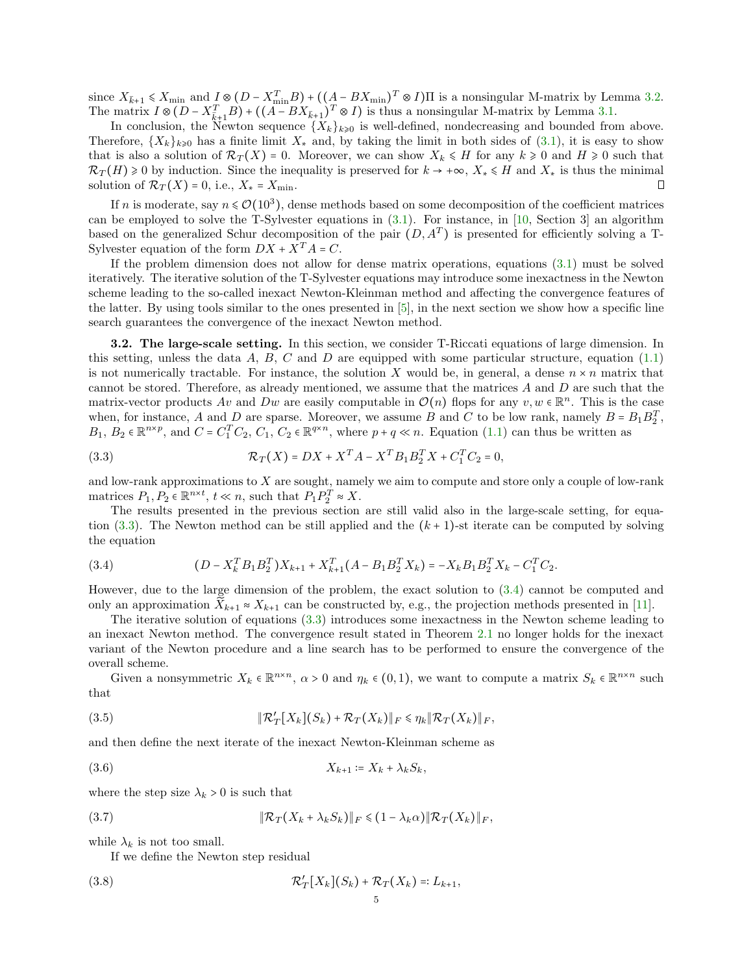since  $X_{\bar{k}+1} \leq X_{\min}$  and  $I \otimes (D - X_{\min}^T B) + ((A - BX_{\min})^T \otimes I)\Pi$  is a nonsingular M-matrix by Lemma [3.2.](#page-2-4) The matrix  $I \otimes (D - X_{\bar{k}+1}^T B) + ((A - BX_{\bar{k}+1})^T \otimes I)$  is thus a nonsingular M-matrix by Lemma [3.1.](#page-2-3)

In conclusion, the Newton sequence  $\{X_k\}_{k\geqslant 0}$  is well-defined, nondecreasing and bounded from above. Therefore,  ${X_k}_{k\geqslant0}$  has a finite limit  $X_*$  and, by taking the limit in both sides of  $(3.1)$ , it is easy to show that is also a solution of  $\mathcal{R}_T(X) = 0$ . Moreover, we can show  $X_k \leq H$  for any  $k \geq 0$  and  $H \geq 0$  such that  $\mathcal{R}_T(H) \geq 0$  by induction. Since the inequality is preserved for  $k \to +\infty$ ,  $X_* \leq H$  and  $X_*$  is thus the minimal solution of  $\mathcal{R}_T(X) = 0$ , i.e.,  $X_* = X_{\min}$ . solution of  $\mathcal{R}_T(X) = 0$ , i.e.,  $X_* = X_{\min}$ .

If n is moderate, say  $n \leq \mathcal{O}(10^3)$ , dense methods based on some decomposition of the coefficient matrices can be employed to solve the T-Sylvester equations in  $(3.1)$ . For instance, in [\[10,](#page-14-17) Section 3] an algorithm based on the generalized Schur decomposition of the pair  $(D, A<sup>T</sup>)$  is presented for efficiently solving a T-Sylvester equation of the form  $DX + X^{T}A = C$ .

If the problem dimension does not allow for dense matrix operations, equations [\(3.1\)](#page-2-2) must be solved iteratively. The iterative solution of the T-Sylvester equations may introduce some inexactness in the Newton scheme leading to the so-called inexact Newton-Kleinman method and affecting the convergence features of the latter. By using tools similar to the ones presented in [\[5\]](#page-14-4), in the next section we show how a specific line search guarantees the convergence of the inexact Newton method.

<span id="page-4-0"></span>3.2. The large-scale setting. In this section, we consider T-Riccati equations of large dimension. In this setting, unless the data  $A, B, C$  and  $D$  are equipped with some particular structure, equation [\(1.1\)](#page-0-0) is not numerically tractable. For instance, the solution X would be, in general, a dense  $n \times n$  matrix that cannot be stored. Therefore, as already mentioned, we assume that the matrices  $A$  and  $D$  are such that the matrix-vector products  $Av$  and  $Dw$  are easily computable in  $\mathcal{O}(n)$  flops for any  $v, w \in \mathbb{R}^n$ . This is the case when, for instance, A and D are sparse. Moreover, we assume B and C to be low rank, namely  $B = B_1 B_2^T$ ,  $B_1, B_2 \in \mathbb{R}^{n \times p}$ , and  $C = C_1^T C_2, C_1, C_2 \in \mathbb{R}^{q \times n}$ , where  $p + q \ll n$ . Equation [\(1.1\)](#page-0-0) can thus be written as

<span id="page-4-1"></span>(3.3) 
$$
\mathcal{R}_T(X) = DX + X^T A - X^T B_1 B_2^T X + C_1^T C_2 = 0,
$$

and low-rank approximations to X are sought, namely we aim to compute and store only a couple of low-rank matrices  $P_1, P_2 \in \mathbb{R}^{n \times t}$ ,  $t \ll n$ , such that  $P_1 P_2^T \approx X$ .

The results presented in the previous section are still valid also in the large-scale setting, for equa-tion [\(3.3\)](#page-4-1). The Newton method can be still applied and the  $(k+1)$ -st iterate can be computed by solving the equation

<span id="page-4-2"></span>(3.4) 
$$
(D - X_k^T B_1 B_2^T) X_{k+1} + X_{k+1}^T (A - B_1 B_2^T X_k) = -X_k B_1 B_2^T X_k - C_1^T C_2.
$$

However, due to the large dimension of the problem, the exact solution to [\(3.4\)](#page-4-2) cannot be computed and only an approximation  $X_{k+1} \approx X_{k+1}$  can be constructed by, e.g., the projection methods presented in [\[11\]](#page-14-15).

The iterative solution of equations [\(3.3\)](#page-4-1) introduces some inexactness in the Newton scheme leading to an inexact Newton method. The convergence result stated in Theorem [2.1](#page-1-3) no longer holds for the inexact variant of the Newton procedure and a line search has to be performed to ensure the convergence of the overall scheme.

Given a nonsymmetric  $X_k \in \mathbb{R}^{n \times n}$ ,  $\alpha > 0$  and  $\eta_k \in (0,1)$ , we want to compute a matrix  $S_k \in \mathbb{R}^{n \times n}$  such that

<span id="page-4-3"></span>(3.5) 
$$
\|\mathcal{R}'_T[X_k](S_k) + \mathcal{R}_T(X_k)\|_F \leq \eta_k \|\mathcal{R}_T(X_k)\|_F,
$$

and then define the next iterate of the inexact Newton-Kleinman scheme as

<span id="page-4-5"></span>
$$
(3.6) \t\t X_{k+1} \coloneqq X_k + \lambda_k S_k,
$$

where the step size  $\lambda_k > 0$  is such that

(3.7) ∥R<sup>T</sup> (X<sup>k</sup> + λkSk)∥<sup>F</sup> ⩽ (1 − λkα)∥R<sup>T</sup> (Xk)∥<sup>F</sup> ,

while  $\lambda_k$  is not too small.

<span id="page-4-6"></span><span id="page-4-4"></span>If we define the Newton step residual

$$
\mathcal{R}'_T[X_k](S_k) + \mathcal{R}_T(X_k) =: L_{k+1},
$$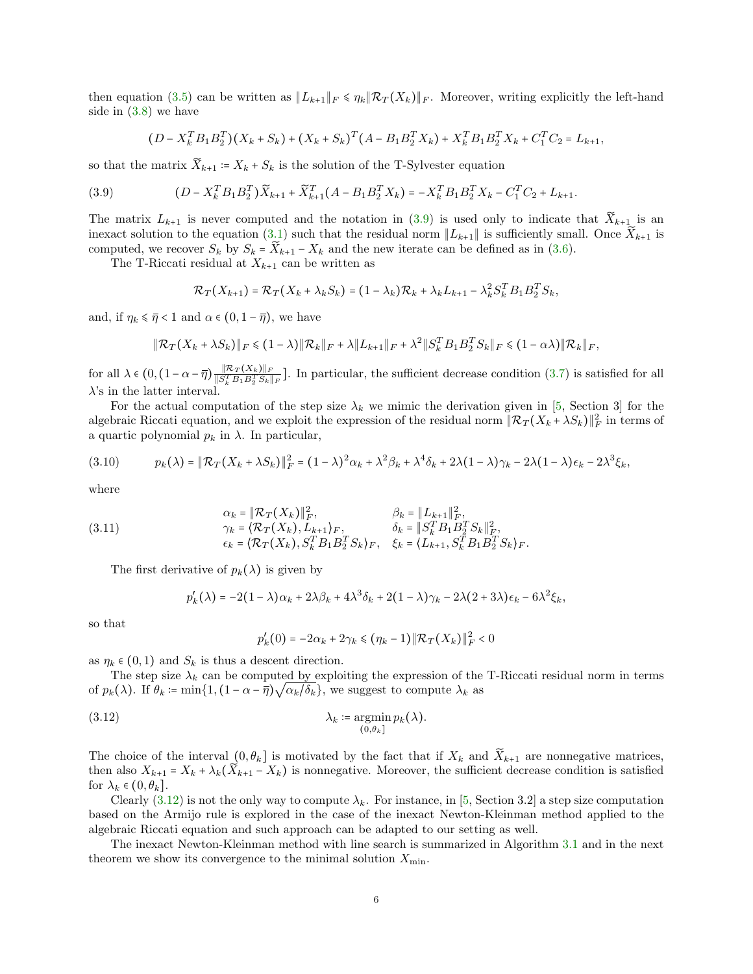then equation [\(3.5\)](#page-4-3) can be written as  $||L_{k+1}||_F \le \eta_k ||\mathcal{R}_T(X_k)||_F$ . Moreover, writing explicitly the left-hand side in [\(3.8\)](#page-4-4) we have

<span id="page-5-0"></span>
$$
(D - X_k^T B_1 B_2^T)(X_k + S_k) + (X_k + S_k)^T (A - B_1 B_2^T X_k) + X_k^T B_1 B_2^T X_k + C_1^T C_2 = L_{k+1},
$$

so that the matrix  $\widetilde{X}_{k+1} = X_k + S_k$  is the solution of the T-Sylvester equation

(3.9) 
$$
(D - X_k^T B_1 B_2^T) \widetilde{X}_{k+1} + \widetilde{X}_{k+1}^T (A - B_1 B_2^T X_k) = -X_k^T B_1 B_2^T X_k - C_1^T C_2 + L_{k+1}.
$$

The matrix  $L_{k+1}$  is never computed and the notation in [\(3.9\)](#page-5-0) is used only to indicate that  $X_{k+1}$  is an inexact solution to the equation [\(3.1\)](#page-2-2) such that the residual norm  $||L_{k+1}||$  is sufficiently small. Once  $X_{k+1}$  is computed, we recover  $S_k$  by  $S_k = \overline{X}_{k+1} - X_k$  and the new iterate can be defined as in [\(3.6\)](#page-4-5).

The T-Riccati residual at  $X_{k+1}$  can be written as

$$
\mathcal{R}_T(X_{k+1}) = \mathcal{R}_T(X_k + \lambda_k S_k) = (1 - \lambda_k)\mathcal{R}_k + \lambda_k L_{k+1} - \lambda_k^2 S_k^T B_1 B_2^T S_k,
$$

and, if  $\eta_k \leq \overline{\eta} < 1$  and  $\alpha \in (0, 1 - \overline{\eta})$ , we have

$$
\|\mathcal{R}_T(X_k+\lambda S_k)\|_F \leq (1-\lambda)\|\mathcal{R}_k\|_F + \lambda\|L_{k+1}\|_F + \lambda^2\|S_k^T B_1 B_2^T S_k\|_F \leq (1-\alpha\lambda)\|\mathcal{R}_k\|_F,
$$

for all  $\lambda \in (0, (1-\alpha-\overline{\eta})\frac{\Vert \mathcal{R}_T(X_k)\Vert_F}{\Vert S^T B_1 B^T S_k \Vert_F}$  $\frac{\|K_T(X_k)\|_F}{\|S_k^T B_1 B_2^T S_k\|_F}$ . In particular, the sufficient decrease condition [\(3.7\)](#page-4-6) is satisfied for all  $\lambda$ 's in the latter interval.

For the actual computation of the step size  $\lambda_k$  we mimic the derivation given in [\[5,](#page-14-4) Section 3] for the algebraic Riccati equation, and we exploit the expression of the residual norm  $\|\mathcal{R}_T(X_k + \lambda S_k)\|_F^2$  in terms of a quartic polynomial  $p_k$  in  $\lambda$ . In particular,

$$
(3.10) \t\t p_k(\lambda) = \|\mathcal{R}_T(X_k + \lambda S_k)\|_F^2 = (1 - \lambda)^2 \alpha_k + \lambda^2 \beta_k + \lambda^4 \delta_k + 2\lambda (1 - \lambda) \gamma_k - 2\lambda (1 - \lambda) \epsilon_k - 2\lambda^3 \xi_k,
$$

where

(3.11) 
$$
\alpha_{k} = \|\mathcal{R}_{T}(X_{k})\|_{F}^{2}, \qquad \beta_{k} = \|L_{k+1}\|_{F}^{2}, \gamma_{k} = \langle \mathcal{R}_{T}(X_{k}), L_{k+1} \rangle_{F}, \qquad \delta_{k} = \|S_{k}^{T}B_{1}B_{2}^{T}S_{k}\|_{F}^{2}, \epsilon_{k} = \langle \mathcal{R}_{T}(X_{k}), S_{k}^{T}B_{1}B_{2}^{T}S_{k} \rangle_{F}, \qquad \xi_{k} = \langle L_{k+1}, S_{k}^{T}B_{1}B_{2}^{T}S_{k} \rangle_{F}.
$$

The first derivative of  $p_k(\lambda)$  is given by

<span id="page-5-2"></span>
$$
p'_{k}(\lambda) = -2(1-\lambda)\alpha_{k} + 2\lambda\beta_{k} + 4\lambda^{3}\delta_{k} + 2(1-\lambda)\gamma_{k} - 2\lambda(2+3\lambda)\epsilon_{k} - 6\lambda^{2}\xi_{k},
$$

so that

<span id="page-5-1"></span>
$$
p'_{k}(0) = -2\alpha_{k} + 2\gamma_{k} \le ( \eta_{k} - 1 ) \| \mathcal{R}_{T}(X_{k}) \|_{F}^{2} < 0
$$

as  $\eta_k \in (0,1)$  and  $S_k$  is thus a descent direction.

The step size  $\lambda_k$  can be computed by exploiting the expression of the T-Riccati residual norm in terms of  $p_k(\lambda)$ . If  $\theta_k \coloneqq \min\{1, (1 - \alpha - \overline{\eta})\sqrt{\alpha_k/\delta_k}\}$ , we suggest to compute  $\lambda_k$  as

(3.12) 
$$
\lambda_k \coloneqq \operatorname*{argmin}_{(0,\theta_k]} p_k(\lambda).
$$

The choice of the interval  $(0, \theta_k]$  is motivated by the fact that if  $X_k$  and  $\widetilde{X}_{k+1}$  are nonnegative matrices, then also  $X_{k+1} = X_k + \lambda_k(\widetilde{X}_{k+1} - X_k)$  is nonnegative. Moreover, the sufficient decrease condition is satisfied for  $\lambda_k \in (0, \theta_k]$ .

Clearly [\(3.12\)](#page-5-1) is not the only way to compute  $\lambda_k$ . For instance, in [\[5,](#page-14-4) Section 3.2] a step size computation based on the Armijo rule is explored in the case of the inexact Newton-Kleinman method applied to the algebraic Riccati equation and such approach can be adapted to our setting as well.

The inexact Newton-Kleinman method with line search is summarized in Algorithm [3.1](#page-6-0) and in the next theorem we show its convergence to the minimal solution  $X_{\min}$ .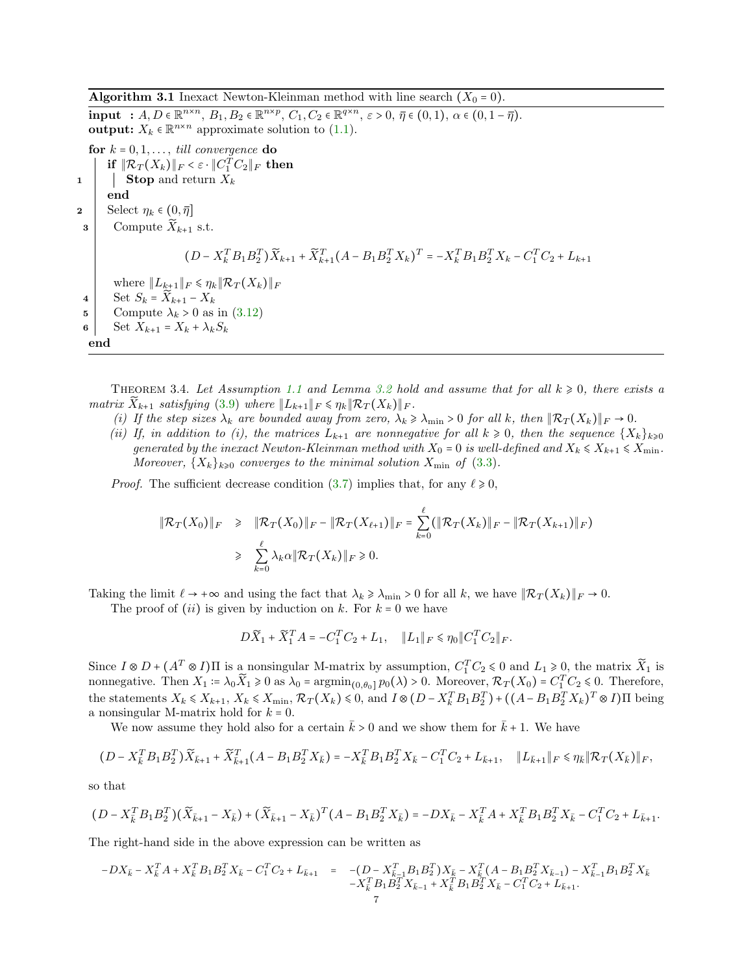<span id="page-6-0"></span>Algorithm 3.1 Inexact Newton-Kleinman method with line search  $(X_0 = 0)$ .  $\text{input} \; : \; A, D \in \mathbb{R}^{n \times n}, \; B_1, B_2 \in \mathbb{R}^{n \times p}, \; C_1, C_2 \in \mathbb{R}^{q \times n}, \; \varepsilon > 0, \; \overline{\eta} \in (0, 1), \; \alpha \in (0, 1 - \overline{\eta}).$ 

**output:**  $X_k \in \mathbb{R}^{n \times n}$  approximate solution to [\(1.1\)](#page-0-0). for  $k = 0, 1, \ldots$ , till convergence do if  $\|\mathcal{R}_T(X_k)\|_F<\varepsilon\cdot \|C_1^TC_2\|_F$  then  $\mathbf{1}$  | Stop and return  $X_k$ end 2 | Select  $\eta_k \in (0, \overline{\eta}]$  $\mathbf{s}$  Compute  $\widetilde{X}_{k+1}$  s.t.  $(D - X_k^T B_1 B_2^T) \widetilde{X}_{k+1} + \widetilde{X}_{k+1}^T (A - B_1 B_2^T X_k)^T = -X_k^T B_1 B_2^T X_k - C_1^T C_2 + L_{k+1}$ where  $||L_{k+1}||_F \leq \eta_k ||\mathcal{R}_T(X_k)||_F$ 4 Set  $S_k = \widetilde{X}_{k+1} - X_k$ 5 Compute  $\lambda_k > 0$  as in  $(3.12)$ 6 | Set  $X_{k+1} = X_k + \lambda_k S_k$ end

<span id="page-6-1"></span>THEOREM 3.4. Let Assumption [1.1](#page-1-1) and Lemma [3.2](#page-2-4) hold and assume that for all  $k \geq 0$ , there exists a matrix  $\overline{X}_{k+1}$  satisfying [\(3.9\)](#page-5-0) where  $||L_{k+1}||_F \leq \eta_k ||\mathcal{R}_T(X_k)||_F$ .

- (i) If the step sizes  $\lambda_k$  are bounded away from zero,  $\lambda_k \geq \lambda_{\min} > 0$  for all k, then  $\|\mathcal{R}_T(X_k)\|_F \to 0$ .
- (ii) If, in addition to (i), the matrices  $L_{k+1}$  are nonnegative for all  $k \geq 0$ , then the sequence  $\{X_k\}_{k\geq 0}$ generated by the inexact Newton-Kleinman method with  $X_0 = 0$  is well-defined and  $X_k \leq X_{k+1} \leq X_{\min}$ . Moreover,  $\{X_k\}_{k\geqslant 0}$  converges to the minimal solution  $X_{\min}$  of  $(3.3)$ .

*Proof.* The sufficient decrease condition [\(3.7\)](#page-4-6) implies that, for any  $\ell \ge 0$ ,

$$
\|\mathcal{R}_T(X_0)\|_F \geq \|\mathcal{R}_T(X_0)\|_F - \|\mathcal{R}_T(X_{\ell+1})\|_F = \sum_{k=0}^{\ell} (\|\mathcal{R}_T(X_k)\|_F - \|\mathcal{R}_T(X_{k+1})\|_F)
$$
  

$$
\geq \sum_{k=0}^{\ell} \lambda_k \alpha \|\mathcal{R}_T(X_k)\|_F \geq 0.
$$

Taking the limit  $\ell \to +\infty$  and using the fact that  $\lambda_k \ge \lambda_{\min} > 0$  for all k, we have  $||\mathcal{R}_T(X_k)||_F \to 0$ .

The proof of  $(ii)$  is given by induction on k. For  $k = 0$  we have

$$
D\widetilde{X}_1 + \widetilde{X}_1^T A = -C_1^T C_2 + L_1, \quad \|L_1\|_F \le \eta_0 \|C_1^T C_2\|_F.
$$

Since  $I \otimes D + (A^T \otimes I)\Pi$  is a nonsingular M-matrix by assumption,  $C_1^T C_2 \leq 0$  and  $L_1 \geq 0$ , the matrix  $\widetilde{X}_1$  is nonnegative. Then  $X_1 = \lambda_0 \widetilde{X}_1 \geq 0$  as  $\lambda_0 = \operatorname{argmin}_{(0, \theta_0]} p_0(\lambda) > 0$ . Moreover,  $\mathcal{R}_T(X_0) = C_1^T C_2 \leq 0$ . Therefore, the statements  $X_k \leq X_{k+1}$ ,  $X_k \leq X_{\min}$ ,  $\mathcal{R}_T(X_k) \leq 0$ , and  $I \otimes (D - X_k^T B_1 B_2^T) + ((A - B_1 B_2^T X_k)^T \otimes I)$ II being a nonsingular M-matrix hold for  $k = 0$ .

We now assume they hold also for a certain  $k > 0$  and we show them for  $k + 1$ . We have

$$
(D - X_{\bar{k}}^T B_1 B_2^T) \widetilde{X}_{\bar{k}+1} + \widetilde{X}_{\bar{k}+1}^T (A - B_1 B_2^T X_{\bar{k}}) = -X_{\bar{k}}^T B_1 B_2^T X_{\bar{k}} - C_1^T C_2 + L_{\bar{k}+1}, \quad \|L_{\bar{k}+1}\|_F \le \eta_{\bar{k}} \|\mathcal{R}_T(X_{\bar{k}})\|_F,
$$

so that

$$
\big(D-X_k^TB_1B_2^T\big)\big(\widetilde{X}_{\bar{k}+1}-X_{\bar{k}}\big)+\big(\widetilde{X}_{\bar{k}+1}-X_{\bar{k}}\big)^T\big(A-B_1B_2^TX_{\bar{k}}\big)=-DX_{\bar{k}}-X_{\bar{k}}^TA+X_{\bar{k}}^TB_1B_2^TX_{\bar{k}}-C_1^TC_2+L_{\bar{k}+1}.
$$

The right-hand side in the above expression can be written as

$$
-DX_{\bar{k}} - X_{\bar{k}}^T A + X_{\bar{k}}^T B_1 B_2^T X_{\bar{k}} - C_1^T C_2 + L_{\bar{k}+1} = -(D - X_{\bar{k}-1}^T B_1 B_2^T) X_{\bar{k}} - X_{\bar{k}}^T (A - B_1 B_2^T X_{\bar{k}-1}) - X_{\bar{k}-1}^T B_1 B_2^T X_{\bar{k}} - X_{\bar{k}}^T B_1 B_2^T X_{\bar{k}-1} + X_{\bar{k}}^T B_1 B_2^T X_{\bar{k}} - C_1^T C_2 + L_{\bar{k}+1}.
$$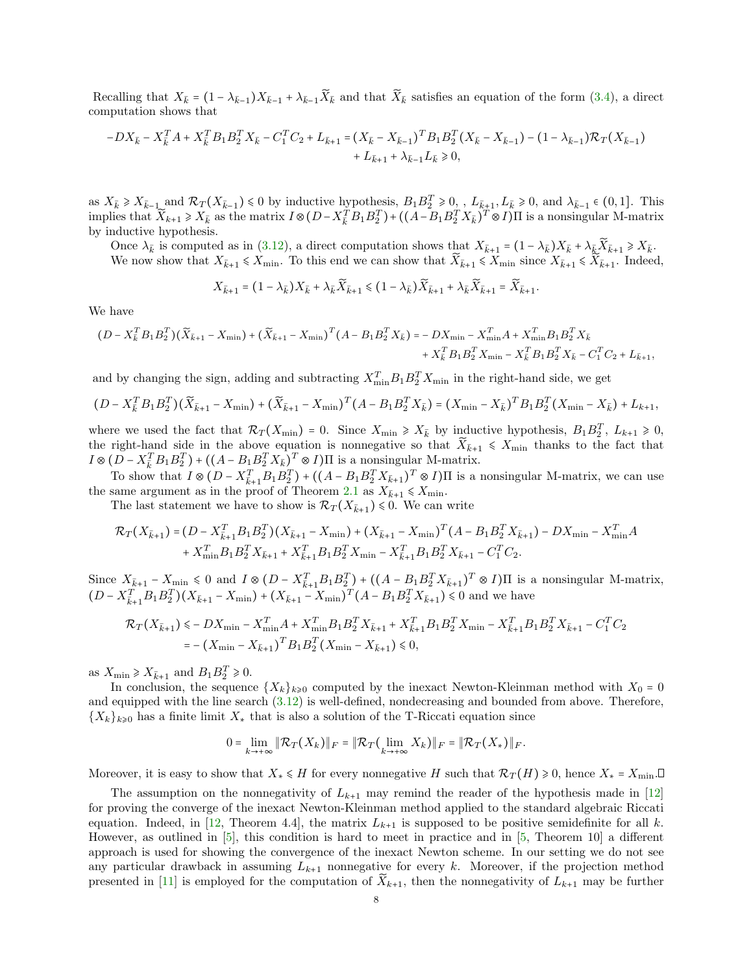Recalling that  $X_{\bar{k}} = (1 - \lambda_{\bar{k}-1})X_{\bar{k}-1} + \lambda_{\bar{k}-1}\tilde{X}_{\bar{k}}$  and that  $\tilde{X}_{\bar{k}}$  satisfies an equation of the form [\(3.4\)](#page-4-2), a direct computation shows that

$$
-DX_{\bar{k}} - X_{\bar{k}}^T A + X_{\bar{k}}^T B_1 B_2^T X_{\bar{k}} - C_1^T C_2 + L_{\bar{k}+1} = (X_{\bar{k}} - X_{\bar{k}-1})^T B_1 B_2^T (X_{\bar{k}} - X_{\bar{k}-1}) - (1 - \lambda_{\bar{k}-1}) \mathcal{R}_T (X_{\bar{k}-1})
$$
  
+  $L_{\bar{k}+1} + \lambda_{\bar{k}-1} L_{\bar{k}} \ge 0$ ,

as  $X_{\bar{k}} \ge X_{\bar{k}-1}$  and  $\mathcal{R}_T(X_{\bar{k}-1}) \le 0$  by inductive hypothesis,  $B_1 B_2^T \ge 0$ ,  $L_{\bar{k}+1}, L_{\bar{k}} \ge 0$ , and  $\lambda_{\bar{k}-1} \in (0,1]$ . This implies that  $\widetilde{X}_{k+1} \geq X_{\bar{k}}$  as the matrix  $I \otimes (D - X_{\bar{k}}^T B_1 B_2^T) + ((A - B_1 B_2^T X_{\bar{k}})^T \otimes I) \Pi$  is a nonsingular M-matrix by inductive hypothesis.

Once  $\lambda_{\bar{k}}$  is computed as in [\(3.12\)](#page-5-1), a direct computation shows that  $X_{\bar{k}+1} = (1 - \lambda_{\bar{k}})X_{\bar{k}} + \lambda_{\bar{k}}\bar{X}_{\bar{k}+1} \ge X_{\bar{k}}$ . We now show that  $X_{\bar{k}+1} \leq X_{\min}$ . To this end we can show that  $\widetilde{X}_{\bar{k}+1} \leq X_{\min}$  since  $X_{\bar{k}+1} \leq \widetilde{X}_{\bar{k}+1}$ . Indeed,

$$
X_{\bar{k}+1} = (1 - \lambda_{\bar{k}})X_{\bar{k}} + \lambda_{\bar{k}}\widetilde{X}_{\bar{k}+1} \leq (1 - \lambda_{\bar{k}})\widetilde{X}_{\bar{k}+1} + \lambda_{\bar{k}}\widetilde{X}_{\bar{k}+1} = \widetilde{X}_{\bar{k}+1}.
$$

We have

$$
(D - X_{\bar{k}}^T B_1 B_2^T)(\widetilde{X}_{\bar{k}+1} - X_{\min}) + (\widetilde{X}_{\bar{k}+1} - X_{\min})^T (A - B_1 B_2^T X_{\bar{k}}) = -DX_{\min} - X_{\min}^T A + X_{\min}^T B_1 B_2^T X_{\bar{k}} + X_{\bar{k}}^T B_1 B_2^T X_{\min} - X_{\bar{k}}^T B_1 B_2^T X_{\bar{k}} - C_1^T C_2 + L_{\bar{k}+1},
$$

and by changing the sign, adding and subtracting  $X_{\min}^T B_1 B_2^T X_{\min}$  in the right-hand side, we get

$$
(D - X_{\bar{k}}^T B_1 B_2^T)(\widetilde{X}_{\bar{k}+1} - X_{\min}) + (\widetilde{X}_{\bar{k}+1} - X_{\min})^T (A - B_1 B_2^T X_{\bar{k}}) = (X_{\min} - X_{\bar{k}})^T B_1 B_2^T (X_{\min} - X_{\bar{k}}) + L_{k+1},
$$

where we used the fact that  $\mathcal{R}_T(X_{\min}) = 0$ . Since  $X_{\min} \ge X_{\bar{k}}$  by inductive hypothesis,  $B_1 B_2^T$ ,  $L_{k+1} \ge 0$ , the right-hand side in the above equation is nonnegative so that  $\widetilde{X}_{\bar{k}+1} \leq X_{\min}$  thanks to the fact that  $I \otimes (D - X_{\bar{k}}^T B_1 B_2^T) + ((A - B_1 B_2^T X_{\bar{k}})^T \otimes I) \Pi$  is a nonsingular M-matrix.

To show that  $I \otimes (D - X_{\overline{k}+1}^T B_1 B_2^T) + ((A - B_1 B_2^T X_{\overline{k}+1})^T \otimes I) \Pi$  is a nonsingular M-matrix, we can use the same argument as in the proof of Theorem [2.1](#page-1-3) as  $X_{\bar{k}+1} \leq X_{\min}$ .

The last statement we have to show is  $\mathcal{R}_T(X_{\bar{k}+1}) \leq 0$ . We can write

$$
\mathcal{R}_{T}(X_{\bar{k}+1}) = (D - X_{\bar{k}+1}^{T} B_{1} B_{2}^{T})(X_{\bar{k}+1} - X_{\min}) + (X_{\bar{k}+1} - X_{\min})^{T}(A - B_{1} B_{2}^{T} X_{\bar{k}+1}) - DX_{\min} - X_{\min}^{T} A
$$

$$
+ X_{\min}^{T} B_{1} B_{2}^{T} X_{\bar{k}+1} + X_{\bar{k}+1}^{T} B_{1} B_{2}^{T} X_{\min} - X_{\bar{k}+1}^{T} B_{1} B_{2}^{T} X_{\bar{k}+1} - C_{1}^{T} C_{2}.
$$

Since  $X_{\bar{k}+1} - X_{\min} \leq 0$  and  $I \otimes (D - X_{\bar{k}+1}^T B_1 B_2^T) + ((A - B_1 B_1^T X_{\bar{k}+1})^T \otimes I)\Pi$  is a nonsingular M-matrix,  $(D - X_{\bar{k}+1}^T B_1 B_2^T)(X_{\bar{k}+1} - X_{\min}) + (X_{\bar{k}+1} - X_{\min})^T (A - B_1 B_2^T X_{\bar{k}+1}) \leq 0$  and we have

$$
\mathcal{R}_T(X_{\bar{k}+1}) \le -DX_{\min} - X_{\min}^T A + X_{\min}^T B_1 B_2^T X_{\bar{k}+1} + X_{\bar{k}+1}^T B_1 B_2^T X_{\min} - X_{\bar{k}+1}^T B_1 B_2^T X_{\bar{k}+1} - C_1^T C_2
$$
  
= - (X\_{\min} - X\_{\bar{k}+1})^T B\_1 B\_2^T (X\_{\min} - X\_{\bar{k}+1}) \le 0,

as  $X_{\min} \ge X_{\bar{k}+1}$  and  $B_1 B_2^T \ge 0$ .

In conclusion, the sequence  $\{X_k\}_{k\geqslant 0}$  computed by the inexact Newton-Kleinman method with  $X_0 = 0$ and equipped with the line search [\(3.12\)](#page-5-1) is well-defined, nondecreasing and bounded from above. Therefore,  ${X_k}_{k\geqslant0}$  has a finite limit  $X_*$  that is also a solution of the T-Riccati equation since

$$
0=\lim_{k\to+\infty}\|\mathcal{R}_T(X_k)\|_F=\|\mathcal{R}_T\left(\lim_{k\to+\infty}X_k\right)\|_F=\|\mathcal{R}_T(X_*)\|_F.
$$

Moreover, it is easy to show that  $X_* \leq H$  for every nonnegative H such that  $\mathcal{R}_T(H) \geq 0$ , hence  $X_* = X_{\text{min}}$ .

The assumption on the nonnegativity of  $L_{k+1}$  may remind the reader of the hypothesis made in [\[12\]](#page-14-7) for proving the converge of the inexact Newton-Kleinman method applied to the standard algebraic Riccati equation. Indeed, in [\[12,](#page-14-7) Theorem 4.4], the matrix  $L_{k+1}$  is supposed to be positive semidefinite for all k. However, as outlined in [\[5\]](#page-14-4), this condition is hard to meet in practice and in [\[5,](#page-14-4) Theorem 10] a different approach is used for showing the convergence of the inexact Newton scheme. In our setting we do not see any particular drawback in assuming  $L_{k+1}$  nonnegative for every k. Moreover, if the projection method presented in [\[11\]](#page-14-15) is employed for the computation of  $\tilde{X}_{k+1}$ , then the nonnegativity of  $L_{k+1}$  may be further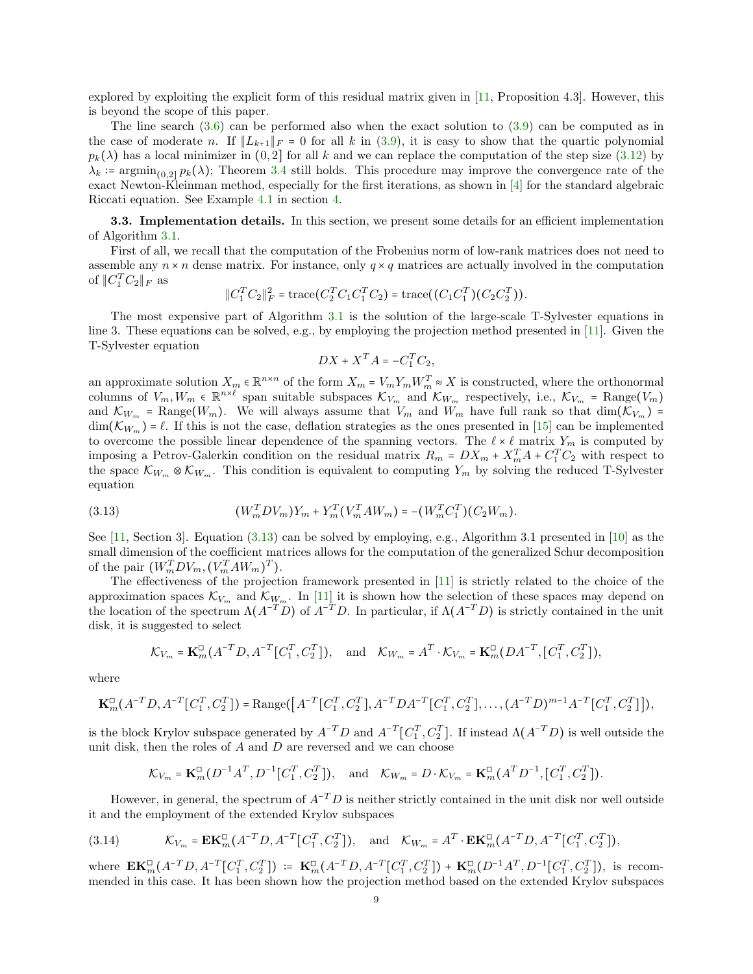explored by exploiting the explicit form of this residual matrix given in [\[11,](#page-14-15) Proposition 4.3]. However, this is beyond the scope of this paper.

The line search  $(3.6)$  can be performed also when the exact solution to  $(3.9)$  can be computed as in the case of moderate n. If  $||L_{k+1}||_F = 0$  for all k in [\(3.9\)](#page-5-0), it is easy to show that the quartic polynomial  $p_k(\lambda)$  has a local minimizer in  $(0, 2]$  for all k and we can replace the computation of the step size [\(3.12\)](#page-5-1) by  $\lambda_k$  := argmin<sub>(0,21</sub>  $p_k(\lambda)$ ); Theorem [3.4](#page-6-1) still holds. This procedure may improve the convergence rate of the exact Newton-Kleinman method, especially for the first iterations, as shown in [\[4\]](#page-14-19) for the standard algebraic Riccati equation. See Example [4.1](#page-10-1) in section [4.](#page-10-0)

<span id="page-8-0"></span>3.3. Implementation details. In this section, we present some details for an efficient implementation of Algorithm [3.1.](#page-6-0)

First of all, we recall that the computation of the Frobenius norm of low-rank matrices does not need to assemble any  $n \times n$  dense matrix. For instance, only  $q \times q$  matrices are actually involved in the computation of  $\|C_1^TC_2\|_F$  as

$$
||C_1^TC_2||_F^2 = \text{trace}(C_2^TC_1C_1^TC_2) = \text{trace}((C_1C_1^T)(C_2C_2^T)).
$$

The most expensive part of Algorithm [3.1](#page-6-0) is the solution of the large-scale T-Sylvester equations in line 3. These equations can be solved, e.g., by employing the projection method presented in [\[11\]](#page-14-15). Given the T-Sylvester equation

$$
DX + X^T A = -C_1^T C_2,
$$

an approximate solution  $X_m \in \mathbb{R}^{n \times n}$  of the form  $X_m = V_m Y_m W_m^T \approx X$  is constructed, where the orthonormal columns of  $V_m, W_m \in \mathbb{R}^{n \times \ell}$  span suitable subspaces  $\mathcal{K}_{V_m}$  and  $\mathcal{K}_{W_m}$  respectively, i.e.,  $\mathcal{K}_{V_m}$  = Range $(V_m)$ and  $\mathcal{K}_{W_m}$  = Range( $W_m$ ). We will always assume that  $V_m$  and  $W_m$  have full rank so that  $\dim(\mathcal{K}_{V_m})$  =  $\dim(\mathcal{K}_{W_m}) = \ell$ . If this is not the case, deflation strategies as the ones presented in [\[15\]](#page-14-20) can be implemented to overcome the possible linear dependence of the spanning vectors. The  $\ell \times \ell$  matrix  $Y_m$  is computed by imposing a Petrov-Galerkin condition on the residual matrix  $R_m = DX_m + X_m^T A + C_1^T C_2$  with respect to the space  $\mathcal{K}_{W_m} \otimes \mathcal{K}_{W_m}$ . This condition is equivalent to computing  $Y_m$  by solving the reduced T-Sylvester equation

<span id="page-8-1"></span>(3.13) 
$$
(W_m^T D V_m) Y_m + Y_m^T (V_m^T A W_m) = -(W_m^T C_1^T)(C_2 W_m).
$$

See [\[11,](#page-14-15) Section 3]. Equation [\(3.13\)](#page-8-1) can be solved by employing, e.g., Algorithm 3.1 presented in [\[10\]](#page-14-17) as the small dimension of the coefficient matrices allows for the computation of the generalized Schur decomposition of the pair  $(W_m^T DV_m, (V_m^T AW_m)^T)$ .

The effectiveness of the projection framework presented in [\[11\]](#page-14-15) is strictly related to the choice of the approximation spaces  $\mathcal{K}_{V_m}$  and  $\mathcal{K}_{W_m}$ . In [\[11\]](#page-14-15) it is shown how the selection of these spaces may depend on the location of the spectrum  $\Lambda(A^{-T}D)$  of  $A^{-T}D$ . In particular, if  $\Lambda(A^{-T}D)$  is strictly contained in the unit disk, it is suggested to select

$$
\mathcal{K}_{V_m}=\textbf{K}^{\square}_m\big(A^{-T}D,A^{-T}\big[C_1^{T},C_2^{T}\big]\big),\quad\text{and}\quad \mathcal{K}_{W_m}=A^{T}\cdot\mathcal{K}_{V_m}=\textbf{K}^{\square}_m\big(DA^{-T},\big[C_1^{T},C_2^{T}\big]\big),
$$

where

$$
\mathbf{K}_{m}^{\square}(A^{-T}D,A^{-T}[C_{1}^{T},C_{2}^{T}]) = \text{Range}(\big[A^{-T}[C_{1}^{T},C_{2}^{T}],A^{-T}DA^{-T}[C_{1}^{T},C_{2}^{T}],\ldots,(A^{-T}D)^{m-1}A^{-T}[C_{1}^{T},C_{2}^{T}]\big]),
$$

is the block Krylov subspace generated by  $A^{-T}D$  and  $A^{-T}[C_1^T, C_2^T]$ . If instead  $\Lambda(A^{-T}D)$  is well outside the unit disk, then the roles of  $A$  and  $D$  are reversed and we can choose

<span id="page-8-2"></span>
$$
K_{V_m} = \mathbf{K}_m^{\square} (D^{-1} A^T, D^{-1} [C_1^T, C_2^T]),
$$
 and  $K_{W_m} = D \cdot K_{V_m} = \mathbf{K}_m^{\square} (A^T D^{-1}, [C_1^T, C_2^T]).$ 

However, in general, the spectrum of  $A^{-T}D$  is neither strictly contained in the unit disk nor well outside it and the employment of the extended Krylov subspaces

(3.14) 
$$
\mathcal{K}_{V_m} = \mathbf{EK}_m^{\square}(A^{-T}D, A^{-T}[C_1^T, C_2^T]), \text{ and } \mathcal{K}_{W_m} = A^T \cdot \mathbf{EK}_m^{\square}(A^{-T}D, A^{-T}[C_1^T, C_2^T]),
$$

where  $\mathbf{EK}_m^{\square}(A^{-T}D, A^{-T}[C_1^T, C_2^T]) \coloneqq \mathbf{K}_m^{\square}(A^{-T}D, A^{-T}[C_1^T, C_2^T]) + \mathbf{K}_m^{\square}(D^{-1}A^T, D^{-1}[C_1^T, C_2^T]),$  is recommended in this case. It has been shown how the projection method based on the extended Krylov subspaces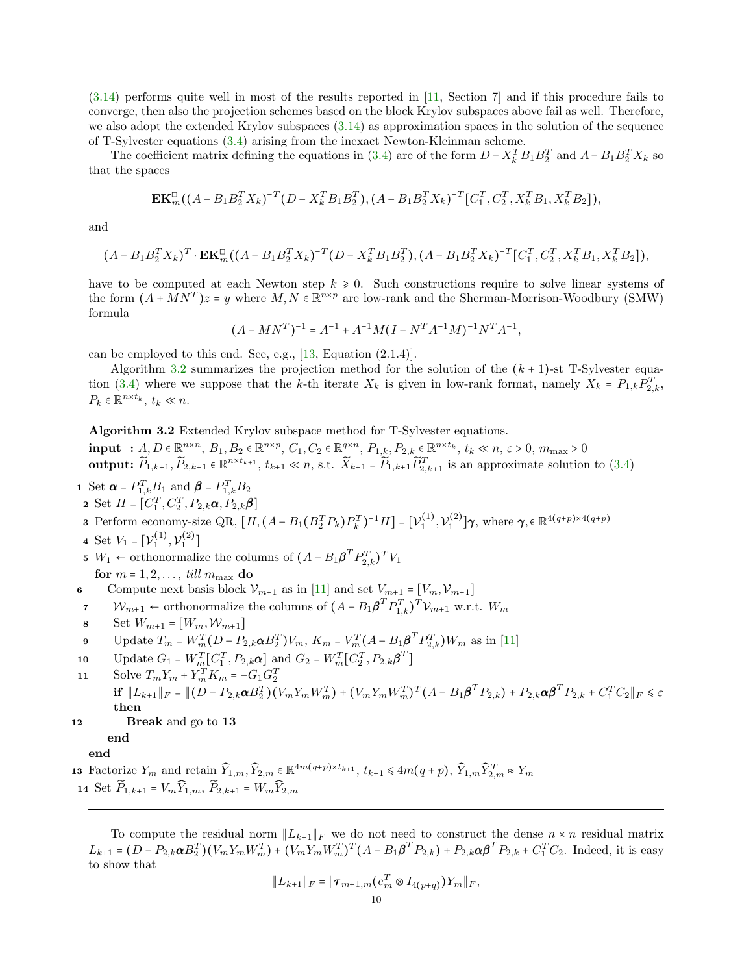[\(3.14\)](#page-8-2) performs quite well in most of the results reported in [\[11,](#page-14-15) Section 7] and if this procedure fails to converge, then also the projection schemes based on the block Krylov subspaces above fail as well. Therefore, we also adopt the extended Krylov subspaces [\(3.14\)](#page-8-2) as approximation spaces in the solution of the sequence of T-Sylvester equations [\(3.4\)](#page-4-2) arising from the inexact Newton-Kleinman scheme.

The coefficient matrix defining the equations in [\(3.4\)](#page-4-2) are of the form  $D - X_k^T B_1 B_2^T$  and  $A - B_1 B_2^T X_k$  so that the spaces

$$
\mathbf{EK}_{m}^{\square}((A-B_1B_2^TX_k)^{-T}(D-X_k^TB_1B_2^T),(A-B_1B_2^TX_k)^{-T}[C_1^T,C_2^T,X_k^TB_1,X_k^TB_2]),
$$

and

$$
(A - B_1 B_2^T X_k)^T \cdot \mathbf{EK}_m^{\square}((A - B_1 B_2^T X_k)^{-T} (D - X_k^T B_1 B_2^T), (A - B_1 B_2^T X_k)^{-T} [C_1^T, C_2^T, X_k^T B_1, X_k^T B_2]),
$$

have to be computed at each Newton step  $k \geq 0$ . Such constructions require to solve linear systems of the form  $(A + MN^T)z = y$  where  $M, N \in \mathbb{R}^{n \times p}$  are low-rank and the Sherman-Morrison-Woodbury (SMW) formula

$$
(A - MN^T)^{-1} = A^{-1} + A^{-1}M(I - N^T A^{-1}M)^{-1} N^T A^{-1},
$$

can be employed to this end. See, e.g., [\[13,](#page-14-21) Equation (2.1.4)].

Algorithm [3.2](#page-9-0) summarizes the projection method for the solution of the  $(k + 1)$ -st T-Sylvester equa-tion [\(3.4\)](#page-4-2) where we suppose that the k-th iterate  $X_k$  is given in low-rank format, namely  $X_k = P_{1,k} P_{2,k}^T$ ,  $P_k \in \mathbb{R}^{n \times t_k}, t_k \ll n.$ 

<span id="page-9-0"></span>Algorithm 3.2 Extended Krylov subspace method for T-Sylvester equations.

 $\text{input} \; : A, D \in \mathbb{R}^{n \times n}, \, B_1, B_2 \in \mathbb{R}^{n \times p}, \, C_1, C_2 \in \mathbb{R}^{q \times n}, \, P_{1,k}, P_{2,k} \in \mathbb{R}^{n \times t_k}, \, t_k \ll n, \, \varepsilon > 0, \, m_{\text{max}} > 0$ output:  $\widetilde{P}_{1,k+1}, \widetilde{P}_{2,k+1} \in \mathbb{R}^{n \times t_{k+1}}, t_{k+1} \ll n$ , s.t.  $\widetilde{X}_{k+1} = \widetilde{P}_{1,k+1} \widetilde{P}_{2,k+1}^T$  is an approximate solution to  $(3.4)$ 

**1** Set  $\boldsymbol{\alpha} = P_{1,k}^T B_1$  and  $\boldsymbol{\beta} = P_{1,k}^T B_2$ 

2 Set  $H = [C_1^T, C_2^T, P_{2,k}\alpha, P_{2,k}\beta]$ 

**3** Perform economy-size QR,  $[H, (A - B_1(B_2^T P_k)P_k^T)^{-1}H] = [\mathcal{V}_1^{(1)}, \mathcal{V}_1^{(2)}]\gamma$ , where  $\gamma \in \mathbb{R}^{4(q+p)\times 4(q+p)}$ 

- 4 Set  $V_1 = [\mathcal{V}_1^{(1)}, \mathcal{V}_1^{(2)}]$
- 5 *W*<sub>1</sub> ← orthonormalize the columns of  $(A B_1 \boldsymbol{\beta}^T P_{2,k}^T)^T V_1$
- for  $m = 1, 2, ...,$  till  $m_{\text{max}}$  do<br>
| Compute next basis block  $V_{m+1}$  as in [11] and set  $V_{m+1} = [V_m, V_{m+1}]$ 6 Compute next basis block  $V_{m+1}$  as in [\[11\]](#page-14-15) and set  $V_{m+1} = [V_m, V_{m+1}]$
- $7 \mid W_{m+1} \leftarrow$  orthonormalize the columns of  $(A B_1 \boldsymbol{\beta}^T P_{1,k}^T)^T V_{m+1}$  w.r.t.  $W_m$
- 

8   
Set 
$$
W_{m+1} = [W_m, W_{m+1}]
$$
  
9   
Update  $T_m = W_m^T (D - P_{2,k} \alpha B_2^T) V_m$ ,  $K_m = V_m^T (A - B_1 \beta^T P_{2,k}^T) W_m$  as in [11]

- 10 Update  $G_1 = W_m^T[C_1^T, P_{2,k}\boldsymbol{\alpha}]$  and  $G_2 = W_m^T[C_2^T, P_{2,k}\boldsymbol{\beta}^T]$
- 11 Solve  $T_m Y_m + Y_m^T K_m = -G_1 G_2^T$  $\inf_{\mathbf{H}} \|L_{k+1}\|_F = \| (D - P_{2,k} \mathbf{\alpha} B_2^T)(V_m Y_m W_m^T) + (V_m Y_m W_m^T)^T (A - B_1 \mathbf{\beta}^T P_{2,k}) + P_{2,k} \mathbf{\alpha} \mathbf{\beta}^T P_{2,k} + C_1^T C_2 \|_F \leq \varepsilon$ then 12 | Break and go to 13 end end

13 Factorize  $Y_m$  and retain  $\widehat{Y}_{1,m}, \widehat{Y}_{2,m} \in \mathbb{R}^{4m(q+p)\times t_{k+1}}, t_{k+1} \leq 4m(q+p), \widehat{Y}_{1,m}\widehat{Y}_{2,m}^T \approx Y_m$ 14 Set  $\widetilde{P}_{1,k+1} = V_m \widehat{Y}_{1,m}, \ \widetilde{P}_{2,k+1} = W_m \widehat{Y}_{2,m}$ 

To compute the residual norm  $\|L_{k+1}\|_F$  we do not need to construct the dense  $n \times n$  residual matrix  $L_{k+1} = (D - P_{2,k} \alpha B_2^T)(V_m Y_m W_m^T) + (V_m Y_m W_m^T)^T (A - B_1 \beta^T P_{2,k}) + P_{2,k} \alpha \beta^T P_{2,k} + C_1^T C_2$ . Indeed, it is easy to show that

$$
||L_{k+1}||_F = ||\boldsymbol{\tau}_{m+1,m}(e_m^T \otimes I_{4(p+q)})Y_m||_F,
$$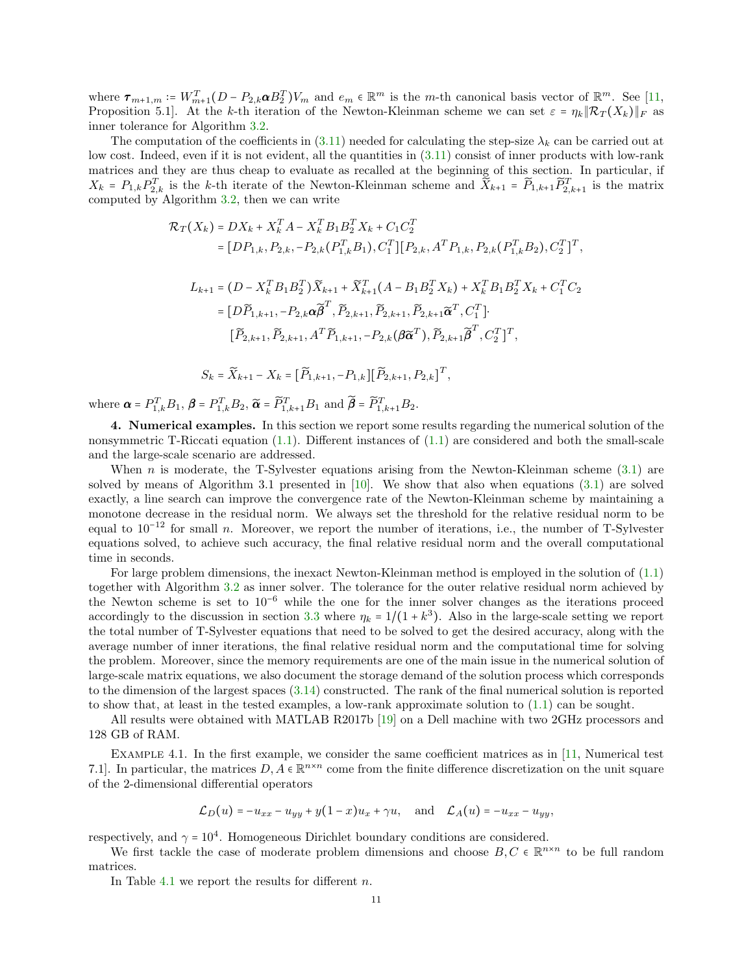where  $\tau_{m+1,m} \coloneqq W_{m+1}^T (D - P_{2,k} \alpha B_2^T) V_m$  and  $e_m \in \mathbb{R}^m$  is the m-th canonical basis vector of  $\mathbb{R}^m$ . See [\[11,](#page-14-15) Proposition 5.1]. At the k-th iteration of the Newton-Kleinman scheme we can set  $\varepsilon = \eta_k \|\mathcal{R}_T(X_k)\|_F$  as inner tolerance for Algorithm [3.2.](#page-9-0)

The computation of the coefficients in [\(3.11\)](#page-5-2) needed for calculating the step-size  $\lambda_k$  can be carried out at low cost. Indeed, even if it is not evident, all the quantities in  $(3.11)$  consist of inner products with low-rank matrices and they are thus cheap to evaluate as recalled at the beginning of this section. In particular, if  $X_k = P_{1,k} P_{2,k}^T$  is the k-th iterate of the Newton-Kleinman scheme and  $\widetilde{X}_{k+1} = \widetilde{P}_{1,k+1} \widetilde{P}_{2,k+1}^T$  is the matrix computed by Algorithm [3.2,](#page-9-0) then we can write

$$
\mathcal{R}_{T}(X_{k}) = DX_{k} + X_{k}^{T} A - X_{k}^{T} B_{1} B_{2}^{T} X_{k} + C_{1} C_{2}^{T}
$$
\n
$$
= [DP_{1,k}, P_{2,k}, -P_{2,k} (P_{1,k}^{T} B_{1}), C_{1}^{T}] [P_{2,k}, A^{T} P_{1,k}, P_{2,k} (P_{1,k}^{T} B_{2}), C_{2}^{T}]^{T},
$$
\n
$$
L_{k+1} = (D - X_{k}^{T} B_{1} B_{2}^{T}) \widetilde{X}_{k+1} + \widetilde{X}_{k+1}^{T} (A - B_{1} B_{2}^{T} X_{k}) + X_{k}^{T} B_{1} B_{2}^{T} X_{k} + C_{1}^{T} C_{2}
$$
\n
$$
= [D\widetilde{P}_{1,k+1}, -P_{2,k} \alpha \widetilde{\beta}^{T}, \widetilde{P}_{2,k+1}, \widetilde{P}_{2,k+1}, \widetilde{\beta}_{2,k+1} \widetilde{\alpha}^{T}, C_{1}^{T}].
$$
\n
$$
[\widetilde{P}_{2,k+1}, \widetilde{P}_{2,k+1}, A^{T} \widetilde{P}_{1,k+1}, -P_{2,k} (\beta \widetilde{\alpha}^{T}), \widetilde{P}_{2,k+1} \widetilde{\beta}^{T}, C_{2}^{T}]^{T},
$$
\n
$$
S_{k} = \widetilde{X}_{k+1} - X_{k} = [\widetilde{P}_{1,k+1}, -P_{1,k}][\widetilde{P}_{2,k+1}, P_{2,k}]^{T},
$$

where  $\boldsymbol{\alpha} = P_{1,k}^T B_1$ ,  $\boldsymbol{\beta} = P_{1,k}^T B_2$ ,  $\widetilde{\boldsymbol{\alpha}} = \widetilde{P}_{1,k+1}^T B_1$  and  $\widetilde{\boldsymbol{\beta}} = \widetilde{P}_{1,k+1}^T B_2$ .

<span id="page-10-0"></span>4. Numerical examples. In this section we report some results regarding the numerical solution of the nonsymmetric T-Riccati equation [\(1.1\)](#page-0-0). Different instances of [\(1.1\)](#page-0-0) are considered and both the small-scale and the large-scale scenario are addressed.

When  $n$  is moderate, the T-Sylvester equations arising from the Newton-Kleinman scheme  $(3.1)$  are solved by means of Algorithm 3.1 presented in  $[10]$ . We show that also when equations  $(3.1)$  are solved exactly, a line search can improve the convergence rate of the Newton-Kleinman scheme by maintaining a monotone decrease in the residual norm. We always set the threshold for the relative residual norm to be equal to  $10^{-12}$  for small n. Moreover, we report the number of iterations, i.e., the number of T-Sylvester equations solved, to achieve such accuracy, the final relative residual norm and the overall computational time in seconds.

For large problem dimensions, the inexact Newton-Kleinman method is employed in the solution of [\(1.1\)](#page-0-0) together with Algorithm [3.2](#page-9-0) as inner solver. The tolerance for the outer relative residual norm achieved by the Newton scheme is set to 10−<sup>6</sup> while the one for the inner solver changes as the iterations proceed accordingly to the discussion in section [3.3](#page-8-0) where  $\eta_k = 1/(1 + k^3)$ . Also in the large-scale setting we report the total number of T-Sylvester equations that need to be solved to get the desired accuracy, along with the average number of inner iterations, the final relative residual norm and the computational time for solving the problem. Moreover, since the memory requirements are one of the main issue in the numerical solution of large-scale matrix equations, we also document the storage demand of the solution process which corresponds to the dimension of the largest spaces [\(3.14\)](#page-8-2) constructed. The rank of the final numerical solution is reported to show that, at least in the tested examples, a low-rank approximate solution to [\(1.1\)](#page-0-0) can be sought.

All results were obtained with MATLAB R2017b [\[19\]](#page-14-22) on a Dell machine with two 2GHz processors and 128 GB of RAM.

<span id="page-10-1"></span>EXAMPLE 4.1. In the first example, we consider the same coefficient matrices as in  $[11,$  Numerical test 7.1]. In particular, the matrices  $D, A \in \mathbb{R}^{n \times n}$  come from the finite difference discretization on the unit square of the 2-dimensional differential operators

$$
\mathcal{L}_D(u) = -u_{xx} - u_{yy} + y(1-x)u_x + \gamma u
$$
, and  $\mathcal{L}_A(u) = -u_{xx} - u_{yy}$ ,

respectively, and  $\gamma = 10^4$ . Homogeneous Dirichlet boundary conditions are considered.

We first tackle the case of moderate problem dimensions and choose  $B, C \in \mathbb{R}^{n \times n}$  to be full random matrices.

In Table [4.1](#page-11-0) we report the results for different  $n$ .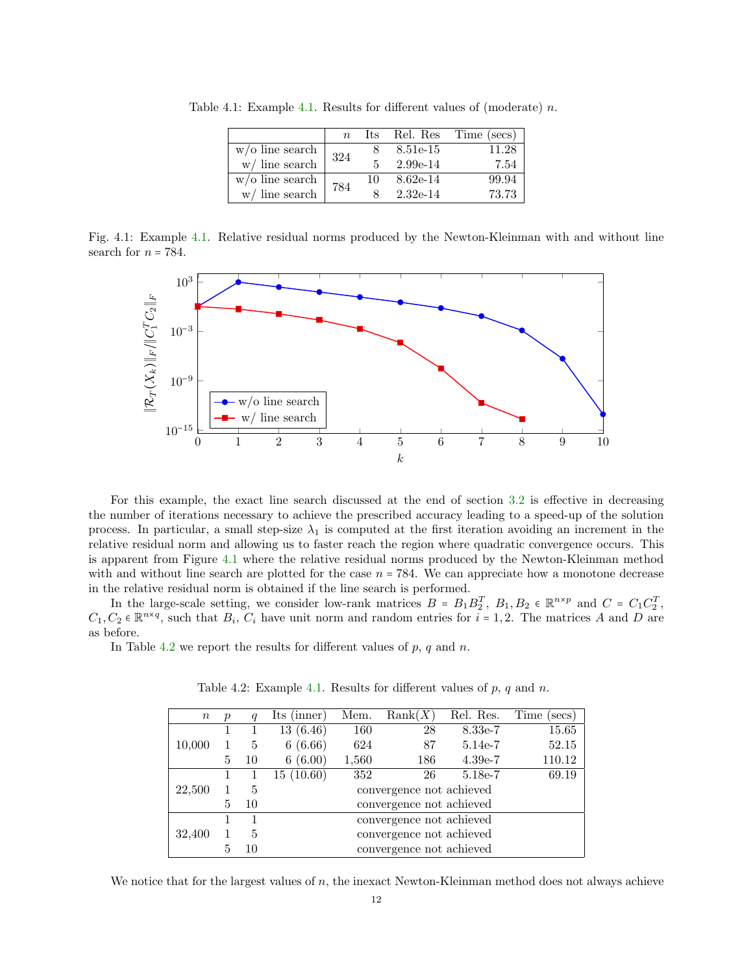|                    | $n_{\rm c}$ | lts. | Rel. Res   | Time (secs) |
|--------------------|-------------|------|------------|-------------|
| $w$ /o line search | 324         |      | 8.51e-15   | 11.28       |
| $w/$ line search   |             |      | $2.99e-14$ | 7.54        |
| $w$ /o line search | 784         | 10   | $8.62e-14$ | 99.94       |
| $w/$ line search   |             |      | $2.32e-14$ | 73.73       |

<span id="page-11-0"></span>Table 4.1: Example [4.1.](#page-10-1) Results for different values of (moderate)  $n$ .

<span id="page-11-1"></span>Fig. 4.1: Example [4.1.](#page-10-1) Relative residual norms produced by the Newton-Kleinman with and without line search for  $n = 784$ .



For this example, the exact line search discussed at the end of section [3.2](#page-4-0) is effective in decreasing the number of iterations necessary to achieve the prescribed accuracy leading to a speed-up of the solution process. In particular, a small step-size  $\lambda_1$  is computed at the first iteration avoiding an increment in the relative residual norm and allowing us to faster reach the region where quadratic convergence occurs. This is apparent from Figure [4.1](#page-11-1) where the relative residual norms produced by the Newton-Kleinman method with and without line search are plotted for the case  $n = 784$ . We can appreciate how a monotone decrease in the relative residual norm is obtained if the line search is performed.

In the large-scale setting, we consider low-rank matrices  $B = B_1 B_2^T$ ,  $B_1, B_2 \in \mathbb{R}^{n \times p}$  and  $C = C_1 C_2^T$ ,  $C_1, C_2 \in \mathbb{R}^{n \times q}$ , such that  $B_i, C_i$  have unit norm and random entries for  $i = 1, 2$ . The matrices A and D are as before.

<span id="page-11-2"></span>In Table [4.2](#page-11-2) we report the results for different values of  $p$ ,  $q$  and  $n$ .

| $\, n$ | $\boldsymbol{p}$ | $\boldsymbol{q}$ | Its (inner)              | Mem.  | Rank(X)                  | Rel. Res. | Time<br>(secs) |  |  |
|--------|------------------|------------------|--------------------------|-------|--------------------------|-----------|----------------|--|--|
|        |                  |                  | 13(6.46)                 | 160   | 28                       | 8.33e-7   | 15.65          |  |  |
| 10,000 |                  | 5                | 6(6.66)                  | 624   | 87                       | 5.14e-7   | 52.15          |  |  |
|        | 5                | 10               | 6(6.00)                  | 1,560 | 186                      | $4.39e-7$ | 110.12         |  |  |
|        |                  |                  | 15(10.60)                | 352   | 26                       | 5.18e-7   | 69.19          |  |  |
| 22,500 |                  | 5                | convergence not achieved |       |                          |           |                |  |  |
|        | 5                | 10               | convergence not achieved |       |                          |           |                |  |  |
|        |                  |                  | convergence not achieved |       |                          |           |                |  |  |
| 32,400 |                  | 5                |                          |       | convergence not achieved |           |                |  |  |
|        | 5                | 10               | convergence not achieved |       |                          |           |                |  |  |

Table 4.2: Example [4.1.](#page-10-1) Results for different values of  $p, q$  and  $n$ .

We notice that for the largest values of  $n$ , the inexact Newton-Kleinman method does not always achieve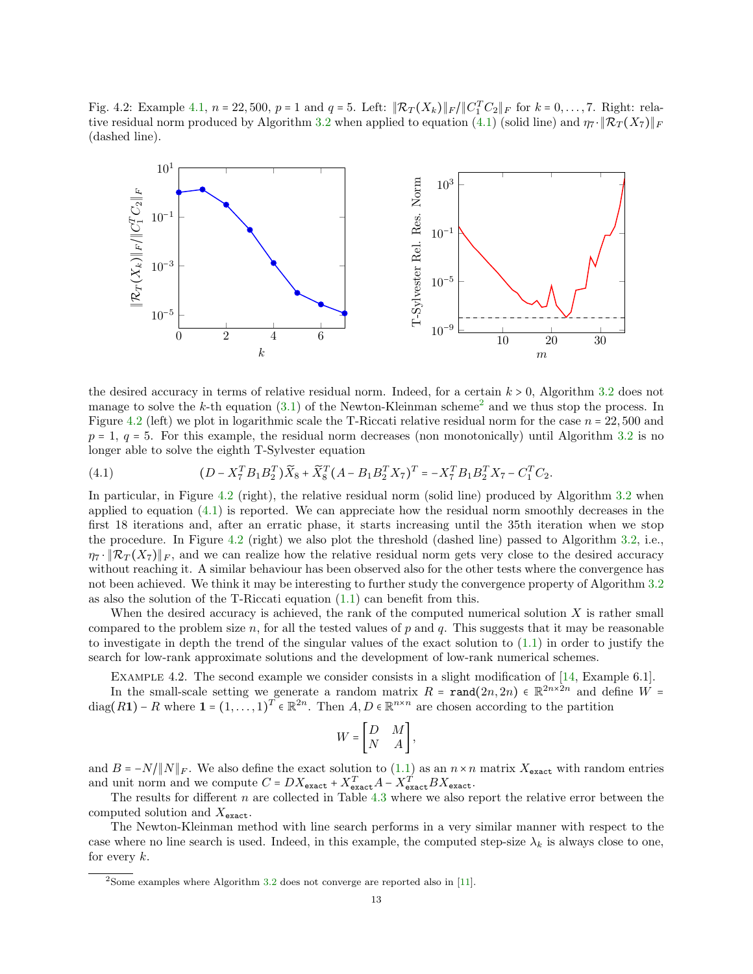<span id="page-12-2"></span>Fig. 4.2: Example [4.1,](#page-10-1)  $n = 22,500$ ,  $p = 1$  and  $q = 5$ . Left:  $\|\mathcal{R}_T(X_k)\|_F / \|C_1^T C_2\|_F$  for  $k = 0, \ldots, 7$ . Right: rela-tive residual norm produced by Algorithm [3.2](#page-9-0) when applied to equation [\(4.1\)](#page-12-0) (solid line) and  $\eta_7 \cdot ||\mathcal{R}_T(X_7)||_F$ (dashed line).



the desired accuracy in terms of relative residual norm. Indeed, for a certain  $k > 0$ , Algorithm [3.2](#page-9-0) does not manage to solve the k-th equation  $(3.1)$  of the Newton-Kleinman scheme<sup>[2](#page-12-1)</sup> and we thus stop the process. In Figure [4.2](#page-12-2) (left) we plot in logarithmic scale the T-Riccati relative residual norm for the case  $n = 22,500$  and  $p = 1$ ,  $q = 5$ . For this example, the residual norm decreases (non monotonically) until Algorithm [3.2](#page-9-0) is no longer able to solve the eighth T-Sylvester equation

<span id="page-12-0"></span>(4.1) 
$$
(D - X_7^T B_1 B_2^T) \widetilde{X}_8 + \widetilde{X}_8^T (A - B_1 B_2^T X_7)^T = -X_7^T B_1 B_2^T X_7 - C_1^T C_2.
$$

In particular, in Figure [4.2](#page-12-2) (right), the relative residual norm (solid line) produced by Algorithm [3.2](#page-9-0) when applied to equation [\(4.1\)](#page-12-0) is reported. We can appreciate how the residual norm smoothly decreases in the first 18 iterations and, after an erratic phase, it starts increasing until the 35th iteration when we stop the procedure. In Figure [4.2](#page-12-2) (right) we also plot the threshold (dashed line) passed to Algorithm [3.2,](#page-9-0) i.e.,  $\eta_7 \cdot \|\mathcal{R}_T(X_7)\|_F$ , and we can realize how the relative residual norm gets very close to the desired accuracy without reaching it. A similar behaviour has been observed also for the other tests where the convergence has not been achieved. We think it may be interesting to further study the convergence property of Algorithm [3.2](#page-9-0) as also the solution of the T-Riccati equation [\(1.1\)](#page-0-0) can benefit from this.

When the desired accuracy is achieved, the rank of the computed numerical solution  $X$  is rather small compared to the problem size n, for all the tested values of p and q. This suggests that it may be reasonable to investigate in depth the trend of the singular values of the exact solution to [\(1.1\)](#page-0-0) in order to justify the search for low-rank approximate solutions and the development of low-rank numerical schemes.

Example 4.2. The second example we consider consists in a slight modification of [\[14,](#page-14-16) Example 6.1].

<span id="page-12-3"></span>In the small-scale setting we generate a random matrix  $R = \text{rand}(2n, 2n) \in \mathbb{R}^{2n \times 2n}$  and define  $W =$ diag(R1) – R where  $\mathbf{1} = (1, \ldots, 1)^T \in \mathbb{R}^{2n}$ . Then  $A, D \in \mathbb{R}^{n \times n}$  are chosen according to the partition

$$
W = \begin{bmatrix} D & M \\ N & A \end{bmatrix},
$$

and  $B = -N/\|N\|_F$ . We also define the exact solution to [\(1.1\)](#page-0-0) as an  $n \times n$  matrix  $X_{\text{exact}}$  with random entries and unit norm and we compute  $C = DX_{\text{exact}} + X_{\text{exact}}^T A - X_{\text{exact}}^T B X_{\text{exact}}.$ 

The results for different  $n$  are collected in Table [4.3](#page-13-1) where we also report the relative error between the computed solution and  $X_{\texttt{exact}}$ .

The Newton-Kleinman method with line search performs in a very similar manner with respect to the case where no line search is used. Indeed, in this example, the computed step-size  $\lambda_k$  is always close to one. for every  $k$ .

<span id="page-12-1"></span> $2$ Some examples where Algorithm [3.2](#page-9-0) does not converge are reported also in [\[11\]](#page-14-15).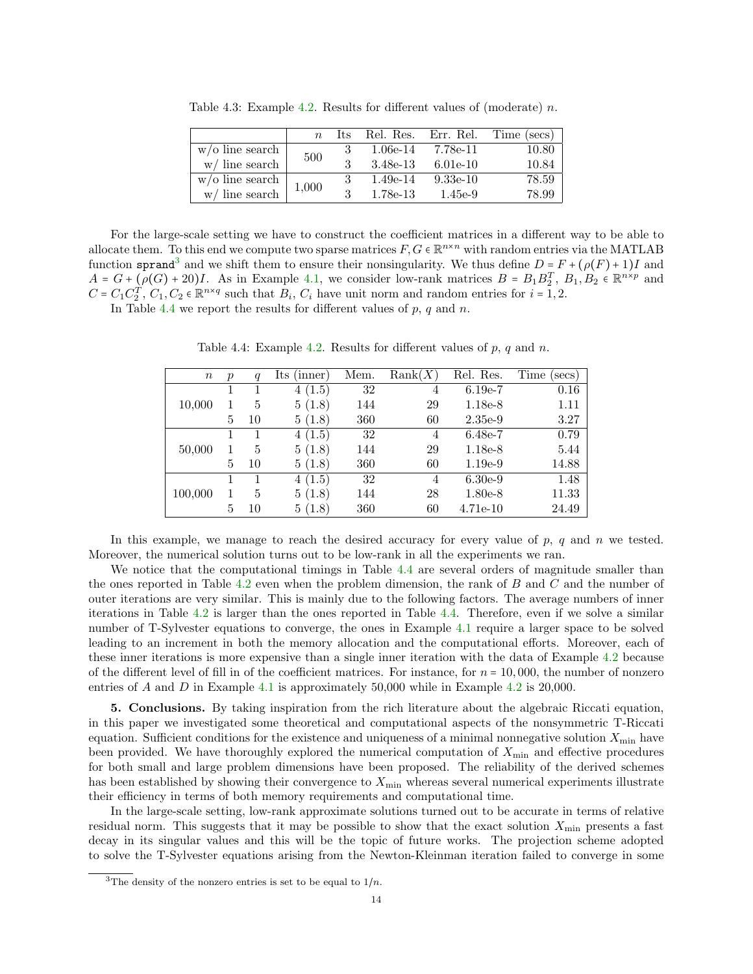|                    | $n_{\rm c}$ | -lts |            |            | Rel. Res. Err. Rel. Time (secs) |
|--------------------|-------------|------|------------|------------|---------------------------------|
| $w$ /o line search | 500         | 3    | $1.06e-14$ | 7.78e-11   | 10.80                           |
| $w/$ line search   |             |      | 3.48e-13   | $6.01e-10$ | 10.84                           |
| $w$ /o line search | 1,000       | 3    | $1.49e-14$ | $9.33e-10$ | 78.59                           |
| $w/$ line search   |             | २    | $1.78e-13$ | 1.45e-9    | 78.99                           |

<span id="page-13-1"></span>Table 4.3: Example [4.2.](#page-12-3) Results for different values of (moderate)  $n$ .

For the large-scale setting we have to construct the coefficient matrices in a different way to be able to allocate them. To this end we compute two sparse matrices  $F, G \in \mathbb{R}^{n \times n}$  with random entries via the MATLAB function sprand<sup>[3](#page-13-2)</sup> and we shift them to ensure their nonsingularity. We thus define  $D = F + (\rho(F) + 1)I$  and  $A = G + \left( \rho(G) + 20 \right) I$ . As in Example [4.1,](#page-10-1) we consider low-rank matrices  $B = B_1 B_2^T$ ,  $B_1, B_2 \in \mathbb{R}^{n \times p}$  and  $C = C_1 C_2^T$ ,  $C_1$ ,  $C_2 \in \mathbb{R}^{n \times q}$  such that  $B_i$ ,  $C_i$  have unit norm and random entries for  $i = 1, 2$ .

<span id="page-13-3"></span>In Table [4.4](#page-13-3) we report the results for different values of  $p, q$  and  $n$ .

| $\, n$  | $\boldsymbol{p}$ | q  | Its<br>(inner) | Mem. | Rank(X) | Rel. Res.  | Time<br>secs) |
|---------|------------------|----|----------------|------|---------|------------|---------------|
|         |                  |    | 4(1.5)         | 32   | 4       | $6.19e-7$  | 0.16          |
| 10,000  |                  | 5  | 5(1.8)         | 144  | 29      | 1.18e-8    | 1.11          |
|         | 5                | 10 | 5(1.8)         | 360  | 60      | $2.35e-9$  | 3.27          |
| 50,000  |                  | 1  | 4(1.5)         | 32   | 4       | $6.48e-7$  | 0.79          |
|         |                  | 5  | 5(1.8)         | 144  | 29      | $1.18e-8$  | 5.44          |
|         | 5                | 10 | 5(1.8)         | 360  | 60      | $1.19e-9$  | 14.88         |
| 100,000 |                  |    | 4(1.5)         | 32   | 4       | $6.30e-9$  | 1.48          |
|         |                  | 5  | 5(1.8)         | 144  | 28      | 1.80e-8    | 11.33         |
|         | 5                | 10 | 5(1.8)         | 360  | 60      | $4.71e-10$ | 24.49         |

Table 4.4: Example [4.2.](#page-12-3) Results for different values of  $p, q$  and  $n$ .

In this example, we manage to reach the desired accuracy for every value of  $p$ ,  $q$  and  $n$  we tested. Moreover, the numerical solution turns out to be low-rank in all the experiments we ran.

We notice that the computational timings in Table [4.4](#page-13-3) are several orders of magnitude smaller than the ones reported in Table [4.2](#page-11-2) even when the problem dimension, the rank of B and C and the number of outer iterations are very similar. This is mainly due to the following factors. The average numbers of inner iterations in Table [4.2](#page-11-2) is larger than the ones reported in Table [4.4.](#page-13-3) Therefore, even if we solve a similar number of T-Sylvester equations to converge, the ones in Example [4.1](#page-10-1) require a larger space to be solved leading to an increment in both the memory allocation and the computational efforts. Moreover, each of these inner iterations is more expensive than a single inner iteration with the data of Example [4.2](#page-12-3) because of the different level of fill in of the coefficient matrices. For instance, for  $n = 10,000$ , the number of nonzero entries of A and D in Example [4.1](#page-10-1) is approximately 50,000 while in Example [4.2](#page-12-3) is 20,000.

<span id="page-13-0"></span>5. Conclusions. By taking inspiration from the rich literature about the algebraic Riccati equation, in this paper we investigated some theoretical and computational aspects of the nonsymmetric T-Riccati equation. Sufficient conditions for the existence and uniqueness of a minimal nonnegative solution  $X_{\min}$  have been provided. We have thoroughly explored the numerical computation of  $X_{\text{min}}$  and effective procedures for both small and large problem dimensions have been proposed. The reliability of the derived schemes has been established by showing their convergence to  $X_{\text{min}}$  whereas several numerical experiments illustrate their efficiency in terms of both memory requirements and computational time.

In the large-scale setting, low-rank approximate solutions turned out to be accurate in terms of relative residual norm. This suggests that it may be possible to show that the exact solution  $X_{\text{min}}$  presents a fast decay in its singular values and this will be the topic of future works. The projection scheme adopted to solve the T-Sylvester equations arising from the Newton-Kleinman iteration failed to converge in some

<span id="page-13-2"></span><sup>&</sup>lt;sup>3</sup>The density of the nonzero entries is set to be equal to  $1/n$ .